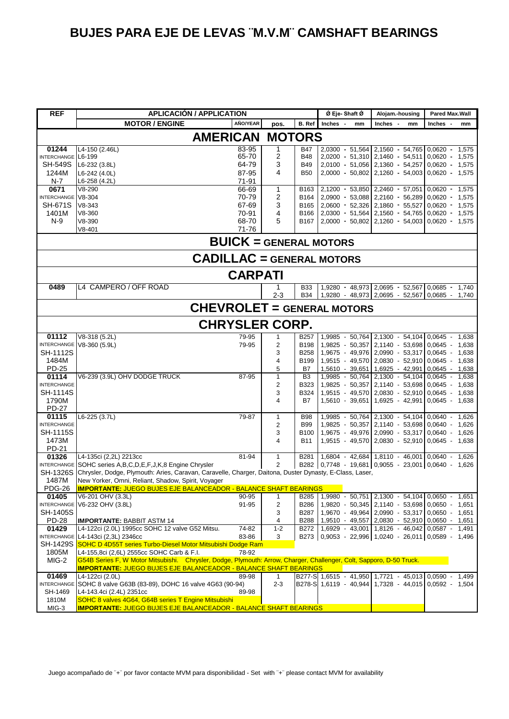| <b>REF</b>                  |                                                                                                                                                                              | <b>APLICACIÓN / APPLICATION</b>   |                |                          | Ø Eje-Shaft Ø                                                                                            | Alojam.-housing                                             | Pared Max.Wall               |
|-----------------------------|------------------------------------------------------------------------------------------------------------------------------------------------------------------------------|-----------------------------------|----------------|--------------------------|----------------------------------------------------------------------------------------------------------|-------------------------------------------------------------|------------------------------|
|                             | <b>MOTOR / ENGINE</b>                                                                                                                                                        | AÑO/YEAR                          | pos.           | B. Ref                   | Inches -<br>mm                                                                                           | Inches -<br>mm                                              | Inches -<br>mm               |
|                             |                                                                                                                                                                              | <b>AMERICAN</b>                   | <b>MOTORS</b>  |                          |                                                                                                          |                                                             |                              |
| 01244                       | L4-150 (2.46L)                                                                                                                                                               | 83-95                             | 1              | <b>B47</b>               | 2,0300 - 51,564                                                                                          | $2,1560 - 54,765$                                           | $0.0620 -$<br>1,575          |
| INTERCHANGE L6-199          |                                                                                                                                                                              | 65-70                             | 2              | <b>B48</b>               | 2,0200 - 51,310 2,1460 - 54,511                                                                          |                                                             | $0,0620 -$<br>1,575          |
| <b>SH-549S</b>              | L6-232 (3.8L)                                                                                                                                                                | 64-79                             | 3<br>4         | <b>B49</b>               |                                                                                                          | 2,0100 - 51,056 2,1360 - 54,257                             | $0,0620 - 1,575$             |
| 1244M<br>$N-7$              | L6-242 (4.0L)<br>L6-258 (4.2L)                                                                                                                                               | 87-95<br>71-91                    |                | <b>B50</b>               |                                                                                                          | 2,0000 - 50,802 2,1260 - 54,003 0,0620 - 1,575              |                              |
| 0671                        | $V8-290$                                                                                                                                                                     | 66-69                             | 1              | B163                     |                                                                                                          | $2,1200 - 53,850$ $2,2460 - 57,051$ 0,0620 -                | 1,575                        |
| INTERCHANGE V8-304          |                                                                                                                                                                              | 70-79                             | 2              | B164                     | 2,0900 - 53,088 2,2160 - 56,289                                                                          |                                                             | $0,0620 -$<br>1,575          |
| <b>SH-671S</b>              | $V8-343$                                                                                                                                                                     | 67-69                             | 3              | B165                     | 2,0600 - 52,326 2,1860 - 55,527                                                                          |                                                             | $0,0620 -$<br>1,575          |
| 1401M                       | V8-360                                                                                                                                                                       | 70-91                             | 4              | B166                     | 2,0300 - 51,564 2,1560 - 54,765                                                                          |                                                             | $0.0620 -$<br>1,575          |
| $N-9$                       | V8-390<br>$V8 - 401$                                                                                                                                                         | 68-70<br>71-76                    | 5              | B167                     |                                                                                                          | 2,0000 - 50,802 2,1260 - 54,003 0,0620 - 1,575              |                              |
|                             |                                                                                                                                                                              | <b>BUICK = GENERAL MOTORS</b>     |                |                          |                                                                                                          |                                                             |                              |
|                             |                                                                                                                                                                              | <b>CADILLAC</b> = GENERAL MOTORS  |                |                          |                                                                                                          |                                                             |                              |
|                             |                                                                                                                                                                              | <b>CARPATI</b>                    |                |                          |                                                                                                          |                                                             |                              |
| 0489                        | L4 CAMPERO / OFF ROAD                                                                                                                                                        |                                   |                | <b>B33</b>               |                                                                                                          | 1,9280 - 48,973 2,0695 - 52,567 0,0685 - 1,740              |                              |
|                             |                                                                                                                                                                              |                                   | $2 - 3$        | <b>B34</b>               |                                                                                                          | 1,9280 - 48,973 2,0695 - 52,567 0,0685 - 1,740              |                              |
|                             |                                                                                                                                                                              | <b>CHEVROLET = GENERAL MOTORS</b> |                |                          |                                                                                                          |                                                             |                              |
|                             |                                                                                                                                                                              | <b>CHRYSLER CORP.</b>             |                |                          |                                                                                                          |                                                             |                              |
| 01112                       | V8-318 (5.2L)                                                                                                                                                                | 79-95                             | $\mathbf{1}$   | <b>B257</b>              |                                                                                                          | 1,9985 - 50,764 2,1300 - 54,104 0,0645 -                    | 1,638                        |
|                             | INTERCHANGE V8-360 (5.9L)                                                                                                                                                    | 79-95                             | 2              | <b>B198</b>              |                                                                                                          | 1,9825 - 50,357 2,1140 - 53,698 0,0645 -                    | 1,638                        |
| <b>SH-1112S</b>             |                                                                                                                                                                              |                                   | 3<br>4         | <b>B258</b>              |                                                                                                          | 1,9675 - 49,976 2,0990 - 53,317 0,0645 -                    | 1,638                        |
| 1484M<br>PD-25              |                                                                                                                                                                              |                                   | 5              | B199<br>B7               | 1,5610 - 39,651                                                                                          | 1,9515 - 49,570 2,0830 - 52,910 0,0645 -<br>1,6925 - 42,991 | 1,638<br>$0,0645 -$<br>1,638 |
| 01114                       | V6-239 (3.9L) OHV DODGE TRUCK                                                                                                                                                | 87-95                             | 1              | B <sub>3</sub>           | 1,9985 - 50,764                                                                                          | $2,1300 - 54,104$                                           | 0,0645<br>1,638              |
| <b>INTERCHANGE</b>          |                                                                                                                                                                              |                                   | 2              | B323                     |                                                                                                          | 1,9825 - 50,357 2,1140 - 53,698                             | $0,0645 -$<br>1,638          |
| SH-1114S                    |                                                                                                                                                                              |                                   | 3              | B324                     | 1,9515 - 49,570                                                                                          | 2,0830 - 52,910                                             | 0,0645<br>1,638              |
| 1790M                       |                                                                                                                                                                              |                                   | 4              | <b>B7</b>                | 1,5610 - 39,651                                                                                          | 1,6925 - 42,991 0,0645 -                                    | 1,638                        |
| <b>PD-27</b>                |                                                                                                                                                                              |                                   |                |                          |                                                                                                          |                                                             |                              |
| 01115<br><b>INTERCHANGE</b> | L6-225 (3.7L)                                                                                                                                                                | 79-87                             | 1<br>2         | <b>B98</b><br><b>B99</b> | 1,9985 - 50,764                                                                                          | 2,1300 - 54,104<br>1,9825 - 50,357 2,1140 - 53,698 0,0640   | $0,0640 -$<br>1,626<br>1,626 |
| SH-1115S                    |                                                                                                                                                                              |                                   | 3              | B100                     | 1,9675 - 49,976 2,0990 - 53,317                                                                          |                                                             | $0,0640 -$<br>1,626          |
| 1473M                       |                                                                                                                                                                              |                                   | 4              | <b>B11</b>               |                                                                                                          | 1,9515 - 49,570 2,0830 - 52,910 0,0645 -                    | 1,638                        |
| PD-21                       |                                                                                                                                                                              |                                   |                |                          |                                                                                                          |                                                             |                              |
| 01326                       | L4-135ci (2,2L) 2213cc                                                                                                                                                       | 81-94                             | 1              | B281                     |                                                                                                          | 1,6804 - 42,684 1,8110 - 46,001 0,0640 -                    | 1,626                        |
| <b>SH-1326S</b>             | INTERCHANGE SOHC series A, B, C, D, E, F, J, K, 8 Engine Chrysler<br>Chrysler, Dodge, Plymouth: Aries, Caravan, Caravelle, Charger, Daitona, Duster Dynasty, E-Class, Laser, |                                   | $\overline{2}$ |                          | B282 0,7748 - 19,681 0,9055 - 23,001 0,0640 -                                                            |                                                             | 1,626                        |
| 1487M                       | New Yorker, Omni, Reliant, Shadow, Spirit, Voyager                                                                                                                           |                                   |                |                          |                                                                                                          |                                                             |                              |
| PDG-26                      | <u> <b>IMPORTANTE:</b> JUEGO BUJES EJE BALANCEADOR - BALANCE SHAFT BEARINGS</u>                                                                                              |                                   |                |                          |                                                                                                          |                                                             |                              |
| 01405                       | V6-201 OHV (3.3L)                                                                                                                                                            | 90-95                             | 1              | <b>B285</b>              |                                                                                                          | $1,9980 - 50,751$ 2,1300 - 54,104 0,0650 - 1,651            |                              |
|                             | INTERCHANGE V6-232 OHV (3.8L)                                                                                                                                                | 91-95                             | 2              | <b>B286</b>              |                                                                                                          | 1,9820 - 50,345 2,1140 - 53,698 0,0650 -                    | 1,651                        |
| SH-1405S                    |                                                                                                                                                                              |                                   | 3              | B287                     |                                                                                                          | 1,9670 - 49,964 2,0990 - 53,317 0,0650 - 1,651              |                              |
| <b>PD-28</b><br>01429       | <b>IMPORTANTE: BABBIT ASTM 14</b>                                                                                                                                            |                                   | 4<br>$1 - 2$   | <b>B288</b>              |                                                                                                          | 1,9510 - 49,557 2,0830 - 52,910 0,0650 - 1,651              |                              |
|                             | L4-122ci (2.0L) 1995cc SOHC 12 valve G52 Mitsu.<br>INTERCHANGE L4-143ci (2,3L) 2346cc                                                                                        | 74-82<br>83-86                    | 3              | B272                     | B273 0,9053 - 22,996 1,0240 - 26,011 0,0589 -                                                            | $1,6929 - 43,001$ 1,8126 - 46,042 0,0587 - 1,491            | 1,496                        |
| SH-1429S                    | SOHC D 4D55T series Turbo-Diesel Motor Mitsubishi Dodge Ram                                                                                                                  |                                   |                |                          |                                                                                                          |                                                             |                              |
| 1805M                       | L4-155,8ci (2,6L) 2555cc SOHC Carb & F.I.                                                                                                                                    | 78-92                             |                |                          |                                                                                                          |                                                             |                              |
| MIG-2                       | G54B Series F, W Motor Mitsubishi. Chrysler, Dodge, Plymouth: Arrow, Charger, Challenger, Colt, Sapporo, D-50 Truck.                                                         |                                   |                |                          |                                                                                                          |                                                             |                              |
|                             | <b>IMPORTANTE: JUEGO BUJES EJE BALANCEADOR - BALANCE SHAFT BEARINGS</b>                                                                                                      |                                   |                |                          |                                                                                                          |                                                             |                              |
| 01469                       | L4-122ci (2.0L)<br>INTERCHANGE SOHC 8 valve G63B (83-89), DOHC 16 valve 4G63 (90-94)                                                                                         | 89-98                             | 1<br>$2 - 3$   |                          | B277-S 1,6515 - 41,950 1,7721 - 45,013 0,0590 -<br>B278-S 1,6119 - 40,944 1,7328 - 44,015 0,0592 - 1,504 |                                                             | 1,499                        |
| SH-1469                     | L4-143.4ci (2.4L) 2351cc                                                                                                                                                     | 89-98                             |                |                          |                                                                                                          |                                                             |                              |
| 1810M                       | SOHC 8 valves 4G64, G64B series T Engine Mitsubishi                                                                                                                          |                                   |                |                          |                                                                                                          |                                                             |                              |
| MIG-3                       | <b>IMPORTANTE: JUEGO BUJES EJE BALANCEADOR - BALANCE SHAFT BEARINGS</b>                                                                                                      |                                   |                |                          |                                                                                                          |                                                             |                              |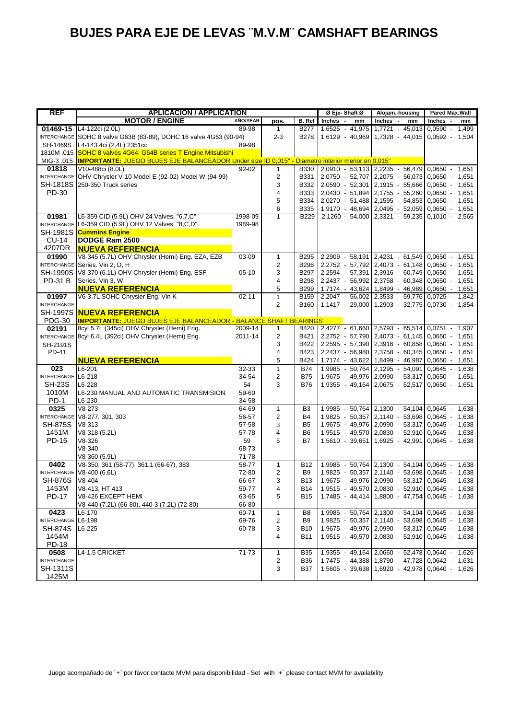| <b>REF</b>         | <b>APLICACIÓN / APPLICATION</b>                                                                             |                    |                         |                     | Ø Eje-Shaft Ø                                            | Alojam.-housing                                                                            | <b>Pared Max.Wall</b> |
|--------------------|-------------------------------------------------------------------------------------------------------------|--------------------|-------------------------|---------------------|----------------------------------------------------------|--------------------------------------------------------------------------------------------|-----------------------|
|                    | <b>MOTOR / ENGINE</b>                                                                                       | AÑO/YEAR           | pos.                    | B. Ref              | Inches -<br>mm                                           | Inches -<br>mm                                                                             | Inches -<br>mm        |
| 01469-15           | L4-122ci (2.0L)                                                                                             | 89-98              | $\mathbf{1}$            | <b>B277</b>         | 1,6525 - 41,975                                          | 1,7721 - 45,013                                                                            | 0,0590 -<br>1,499     |
|                    | INTERCHANGE SOHC 8 valve G63B (83-89), DOHC 16 valve 4G63 (90-94)                                           |                    | $2 - 3$                 | <b>B278</b>         |                                                          | $1,6129 - 40,969$ 1,7328 - 44,015 0,0592 -                                                 | 1,504                 |
| SH-1469S           | L4-143.4ci (2.4L) 2351cc                                                                                    | 89-98              |                         |                     |                                                          |                                                                                            |                       |
|                    | 1810M .015 SOHC 8 valves 4G64, G64B series T Engine Mitsubishi                                              |                    |                         |                     |                                                          |                                                                                            |                       |
|                    | MIG-3.015  IMPORTANTE: JUEGO BUJES EJE BALANCEADOR Under size ID 0,015" - Diametro interior menor en 0,015" |                    |                         |                     |                                                          |                                                                                            |                       |
| 01818              | V10-488ci (8.0L)                                                                                            | 92-02              | $\mathbf{1}$            |                     | B330 2,0910 - 53,113 2,2235 - 56,479                     |                                                                                            | $0.0650 - 1.651$      |
|                    | INTERCHANGE OHV Chrysler V-10 Model E (92-02) Model W (94-99)                                               |                    | 2                       | B331                |                                                          | 2,0750 - 52,707 2,2075 - 56,073 0,0650 -                                                   | 1,651                 |
| SH-1818S           | 250-350 Truck series                                                                                        |                    | 3                       | B332                |                                                          | $2,0590 - 52,301$ 2,1915 - 55,666 0,0650 -                                                 | 1,651                 |
| PD-30              |                                                                                                             |                    | 4                       | B333                |                                                          | $2,0430 - 51,894$ 2,1755 - 55,260 0,0650 -                                                 | 1,651                 |
|                    |                                                                                                             |                    | 5                       | B334                |                                                          | 2,0270 - 51,488 2,1595 - 54,853 0,0650 - 1,651                                             |                       |
|                    |                                                                                                             |                    | 6<br>1                  | B335<br><b>B229</b> |                                                          | 1,9170 - 48,694 2,0495 - 52,059 0,0650 - 1,651<br>2,1260 - 54,000 2,3321 - 59,235 0,1010 - |                       |
| 01981              | L6-359 CID (5.9L) OHV 24 Valves, "6,7,C"<br>INTERCHANGE L6-359 CID (5.9L) OHV 12 Valves, "8,C,D"            | 1998-09<br>1989-98 |                         |                     |                                                          |                                                                                            | 2,565                 |
| SH-1981S           | <b>Cummins Engine</b>                                                                                       |                    |                         |                     |                                                          |                                                                                            |                       |
| CU-14              | <b>DODGE Ram 2500</b>                                                                                       |                    |                         |                     |                                                          |                                                                                            |                       |
| 4207DR             | <b>NUEVA REFERENCIA</b>                                                                                     |                    |                         |                     |                                                          |                                                                                            |                       |
| 01990              | V8-345 (5.7L) OHV Chrysler (Hemi) Eng. EZA, EZB                                                             | 03-09              | 1                       | B295                |                                                          | 2,2909 - 58,191 2,4231 - 61,549 0,0650 - 1,651                                             |                       |
|                    | INTERCHANGE Series. Vin 2, D, H                                                                             |                    | $\overline{2}$          | <b>B296</b>         |                                                          | 2,2752 - 57,792 2,4073 - 61,148 0,0650 - 1,651                                             |                       |
| <b>SH-1990S</b>    | V8-370 (6.1L) OHV Chrysler (Hemi) Eng. ESF                                                                  | $05-10$            | 3                       | B297                |                                                          | 2,2594 - 57,391 2,3916 - 60,749 0,0650 - 1,651                                             |                       |
| <b>PD-31 B</b>     | Series. Vin 3, W                                                                                            |                    | 4                       | <b>B298</b>         |                                                          | 2,2437 - 56,992 2,3758 - 60,348 0,0650 - 1,651                                             |                       |
|                    | <b>NUEVA REFERENCIA</b>                                                                                     |                    | 5                       | <b>B299</b>         |                                                          | 1,7174 - 43,624 1,8499 - 46,989 0,0650 - 1,651                                             |                       |
| 01997              | V6-3,7L SOHC Chrysler Eng. Vin K                                                                            | $02 - 11$          | $\mathbf{1}$            | B159                |                                                          | 2,2047 - 56,002 2,3533 - 59,776 0,0725 - 1,842                                             |                       |
| <b>INTERCHANGE</b> |                                                                                                             |                    | $\overline{2}$          | B160                |                                                          | 1,1417 - 29,000 1,2903 - 32,775 0,0730 - 1,854                                             |                       |
|                    | SH-1997S INUEVA REFERENCIA                                                                                  |                    |                         |                     |                                                          |                                                                                            |                       |
| <b>PDG-30</b>      | <b>IMPORTANTE: JUEGO BUJES EJE BALANCEADOR - BALANCE SHAFT BEARINGS</b>                                     |                    |                         |                     |                                                          |                                                                                            |                       |
| 02191              | 8cyl 5.7L (345ci) OHV Chrysler (Hemi) Eng.                                                                  | 2009-14            | $\mathbf{1}$            | B420                | 2,4277 - 61,660 2,5793 - 65,514 0,0751 - 1,907           |                                                                                            |                       |
|                    | INTERCHANGE 8cyl 6.4L (392ci) OHV Chrysler (Hemi) Eng.                                                      | 2011-14            | $\overline{c}$          | B421                |                                                          | 2,2752 - 57,790 2,4073 - 61,145 0,0650 - 1,651                                             |                       |
| SH-2191S           |                                                                                                             |                    | 3                       | B422                |                                                          | 2,2595 - 57,390 2,3916 - 60,858 0,0650 - 1,651                                             |                       |
| PD-41              |                                                                                                             |                    | 4                       | B423                |                                                          | 2,2437 - 56,980 2,3758 - 60,345 0,0650 - 1,651                                             |                       |
|                    | <b>NUEVA REFERENCIA</b>                                                                                     |                    | 5                       | B424                |                                                          | 1,7174 - 43,622 1,8499 - 46.987                                                            | $0,0650 - 1,651$      |
| 023                | L6-201                                                                                                      | 32-33              | $\mathbf{1}$            | B74                 |                                                          | 1,9985 - 50,764 2,1295 - 54,091                                                            | $0.0645 - 1.638$      |
| INTERCHANGE L6-218 |                                                                                                             | 34-54              | $\overline{2}$          | <b>B75</b>          |                                                          | 1,9675 - 49,976 2,0990 - 53,317                                                            | $0,0650 -$<br>1,651   |
| <b>SH-23S</b>      | L6-228                                                                                                      | 54                 | 3                       | <b>B76</b>          |                                                          | $1,9355 - 49,164$ 2,0675 - 52,517 0,0650 -                                                 | 1,651                 |
| 1010M              | L6-230 MANUAL AND AUTOMATIC TRANSMISION                                                                     | 59-60              |                         |                     |                                                          |                                                                                            |                       |
| PD-1               | $L6-230$                                                                                                    | 34-58              |                         |                     |                                                          |                                                                                            |                       |
| 0325               | $V8-273$                                                                                                    | 64-69              | $\mathbf{1}$            | B <sub>3</sub>      |                                                          | 1,9985 - 50,764 2,1300 - 54,104 0,0645 - 1,638                                             |                       |
|                    | INTERCHANGE V8-277, 301, 303                                                                                | 56-57              | $\overline{2}$          | <b>B4</b>           |                                                          | 1,9825 - 50,357 2,1140 - 53,698 0,0645 -                                                   | 1,638                 |
| <b>SH-875S</b>     | $V8-313$                                                                                                    | 57-58              | 3                       | B <sub>5</sub>      |                                                          | 1,9675 - 49,976 2,0990 - 53,317 0,0645 - 1,638                                             |                       |
| 1451M              | V8-318 (5.2L)                                                                                               | 57-78              | $\overline{4}$          | B <sub>6</sub>      |                                                          | 1,9515 - 49,570 2,0830 - 52,910 0,0645 -                                                   | 1,638                 |
| PD-16              | V8-326                                                                                                      | 59                 | 5                       | <b>B7</b>           |                                                          | $1,5610 - 39,651$ 1,6925 - 42,991 0,0645 -                                                 | 1,638                 |
|                    | $V8 - 340$                                                                                                  | 68-73              |                         |                     |                                                          |                                                                                            |                       |
| 0402               | V8-360 (5.9L)<br>V8-350, 361 (58-77), 361,1 (66-67), 383                                                    | 71-78<br>58-77     | $\mathbf{1}$            | <b>B12</b>          |                                                          | 1,9985 - 50,764 2,1300 - 54,104 0,0645 - 1,638                                             |                       |
|                    | INTERCHANGE V8-400 (6.6L)                                                                                   | 72-80              | 2                       | B <sub>9</sub>      |                                                          | 1,9825 - 50,357 2,1140 - 53,698 0,0645 -                                                   | 1,638                 |
| <b>SH-876S</b>     | $V8 - 404$                                                                                                  | 66-67              | 3                       | B13                 |                                                          | 1,9675 - 49,976 2,0990 - 53,317 0,0645 - 1,638                                             |                       |
| 1453M              | V8-413, HT 413                                                                                              | 59-77              | 4                       |                     | B14   1,9515 - 49,570   2,0830 - 52,910   0,0645 - 1,638 |                                                                                            |                       |
| <b>PD-17</b>       | V8-426 EXCEPT HEMI                                                                                          | 63-65              | 5                       | B15                 |                                                          | 1,7485 - 44,414 1,8800 - 47,754 0,0645 - 1,638                                             |                       |
|                    | V8-440 (7.2L) (66-80), 440-3 (7.2L) (72-80)                                                                 | 66-80              |                         |                     |                                                          |                                                                                            |                       |
| 0423               | L6-170                                                                                                      | 60-71              | $\mathbf{1}$            | B8                  |                                                          | 1,9985 - 50,764 2,1300 - 54,104 0,0645 - 1,638                                             |                       |
| <b>INTERCHANGE</b> | L6-198                                                                                                      | 69-76              | $\overline{2}$          | B <sub>9</sub>      |                                                          | 1,9825 - 50,357 2,1140 - 53,698 0,0645 - 1,638                                             |                       |
| SH-874S            | L6-225                                                                                                      | 60-78              | 3                       | <b>B10</b>          |                                                          | 1,9675 - 49,976 2,0990 - 53,317 0,0645 - 1,638                                             |                       |
| 1454M              |                                                                                                             |                    | $\overline{4}$          | B11                 |                                                          | 1,9515 - 49,570 2,0830 - 52,910 0,0645 - 1,638                                             |                       |
| PD-18              |                                                                                                             |                    |                         |                     |                                                          |                                                                                            |                       |
| 0508               | L4-1.5 CRICKET                                                                                              | $71 - 73$          | $\mathbf{1}$            | <b>B35</b>          |                                                          | 1,9355 - 49,164 2,0660 - 52,478 0,0640 - 1,626                                             |                       |
| <b>INTERCHANGE</b> |                                                                                                             |                    | $\overline{\mathbf{c}}$ | <b>B36</b>          |                                                          | 1,7475 - 44,388 1,8790 - 47,728 0,0642 - 1,631                                             |                       |
| SH-1311S           |                                                                                                             |                    | 3                       | <b>B37</b>          |                                                          | 1,5605 - 39,638 1,6920 - 42,978 0,0640 - 1,626                                             |                       |
| 1425M              |                                                                                                             |                    |                         |                     |                                                          |                                                                                            |                       |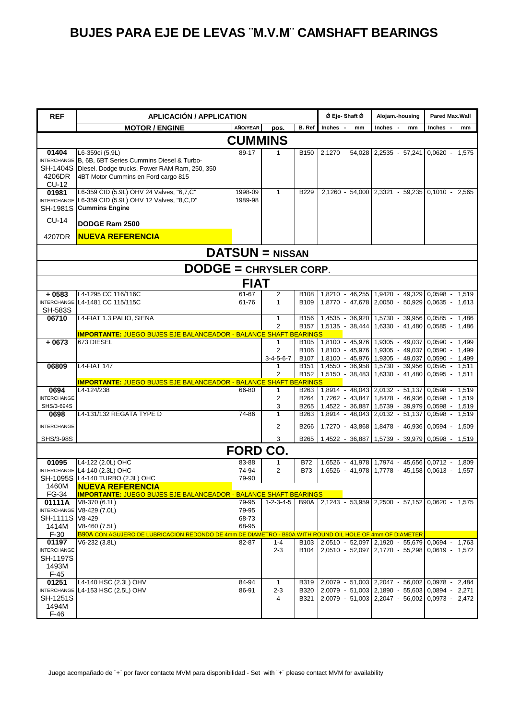| <b>REF</b>                                                 | <b>APLICACIÓN / APPLICATION</b>                                                                                                                                           |                                  |                                |                                                     | Ø Eje- Shaft Ø                                      | Alojam.-housing                                                                                                                                    | <b>Pared Max.Wall</b>                   |  |  |
|------------------------------------------------------------|---------------------------------------------------------------------------------------------------------------------------------------------------------------------------|----------------------------------|--------------------------------|-----------------------------------------------------|-----------------------------------------------------|----------------------------------------------------------------------------------------------------------------------------------------------------|-----------------------------------------|--|--|
|                                                            | <b>MOTOR / ENGINE</b>                                                                                                                                                     | AÑO/YEAR                         | pos.                           | B. Ref                                              | <b>Inches</b><br>mm                                 | Inches -<br>mm                                                                                                                                     | Inches -<br>mm                          |  |  |
|                                                            |                                                                                                                                                                           | <b>CUMMINS</b>                   |                                |                                                     |                                                     |                                                                                                                                                    |                                         |  |  |
| 01404<br>4206DR<br>CU-12                                   | L6-359ci (5,9L)<br>INTERCHANGE B, 6B, 6BT Series Cummins Diesel & Turbo-<br>SH-1404S Diesel. Dodge trucks. Power RAM Ram, 250, 350<br>4BT Motor Cummins en Ford cargo 815 | 89-17                            | 1                              | <b>B150</b>                                         | 2,1270                                              | 54,028 2,2535 - 57,241 0,0620 - 1,575                                                                                                              |                                         |  |  |
| 01981                                                      | L6-359 CID (5.9L) OHV 24 Valves, "6,7,C"<br>INTERCHANGE L6-359 CID (5.9L) OHV 12 Valves, "8,C,D"<br>SH-1981S Cummins Engine                                               | 1998-09<br>1989-98               | $\mathbf{1}$                   | <b>B229</b>                                         |                                                     | 2.1260 - 54.000 2.3321 - 59.235 0.1010 - 2.565                                                                                                     |                                         |  |  |
| <b>CU-14</b>                                               | DODGE Ram 2500                                                                                                                                                            |                                  |                                |                                                     |                                                     |                                                                                                                                                    |                                         |  |  |
| 4207DR                                                     | <b>NUEVA REFERENCIA</b>                                                                                                                                                   |                                  |                                |                                                     |                                                     |                                                                                                                                                    |                                         |  |  |
|                                                            |                                                                                                                                                                           | $DATSUM = NISSAN$                |                                |                                                     |                                                     |                                                                                                                                                    |                                         |  |  |
| <b>DODGE = CHRYSLER CORP.</b>                              |                                                                                                                                                                           |                                  |                                |                                                     |                                                     |                                                                                                                                                    |                                         |  |  |
|                                                            |                                                                                                                                                                           | <b>FIAT</b>                      |                                |                                                     |                                                     |                                                                                                                                                    |                                         |  |  |
| $+0583$<br><b>SH-583S</b>                                  | L4-1295 CC 116/116C<br>INTERCHANGE L4-1481 CC 115/115C                                                                                                                    | 61-67<br>61-76                   | 2<br>$\mathbf{1}$              | B108<br><b>B109</b>                                 |                                                     | 1.8210 - 46.255 1.9420 - 49.329<br>1,8770 - 47,678 2,0050 - 50,929 0,0635 - 1,613                                                                  | $0,0598 - 1,519$                        |  |  |
| 06710                                                      | L4-FIAT 1.3 PALIO, SIENA<br><b>IMPORTANTE: JUEGO BUJES EJE BALANCEADOR - BALANCE SHAFT BEARINGS</b>                                                                       |                                  | $\mathbf{1}$<br>$\overline{2}$ | <b>B156</b>                                         | B157 1,5135 - 38,444 1,6330 - 41,480                | 1,4535 - 36,920 1,5730 - 39,956                                                                                                                    | $0.0585 -$<br>1,486<br>$0.0585 - 1.486$ |  |  |
| $+0673$                                                    | 673 DIESEL                                                                                                                                                                |                                  | 1<br>2<br>$3 - 4 - 5 - 6 - 7$  | B <sub>105</sub><br>B <sub>106</sub><br><b>B107</b> |                                                     | 1,8100 - 45,976 1,9305 - 49,037<br>1.8100 - 45.976 1.9305 - 49.037<br>1,8100 - 45,976 1,9305 - 49,037 0,0590 - 1,499                               | $0.0590 - 1.499$<br>$0.0590 - 1.499$    |  |  |
| 06809                                                      | <b>L4-FIAT 147</b>                                                                                                                                                        |                                  | 1<br>2                         | B <sub>151</sub><br><b>B152</b>                     | $1,5150 - 38,483$ 1,6330 - 41,480 0,0595 - 1,511    | $1,4550 - 36,958$ 1,5730 - 39,956 0,0595 -                                                                                                         | 1.511                                   |  |  |
|                                                            | <b>IMPORTANTE: JUEGO BUJES EJE BALANCEADOR - BALANCE SHAFT BEARINGS</b>                                                                                                   |                                  |                                |                                                     |                                                     |                                                                                                                                                    |                                         |  |  |
| 0694<br><b>INTERCHANGE</b><br>SHS/3-694S                   | L4-124/238                                                                                                                                                                | 66-80                            | $\mathbf{1}$<br>2<br>3         | B263<br>B264<br>B265                                |                                                     | 1,8914 - 48,043 2,0132 - 51,137<br>1,7262 - 43,847 1,8478 - 46,936 0,0598 - 1,519<br>1,4522 - 36,887 1,5739 - 39,979                               | $0.0598 - 1.519$<br>$0,0598 - 1,519$    |  |  |
| 0698<br><b>INTERCHANGE</b>                                 | L4-131/132 REGATA TYPE D                                                                                                                                                  | 74-86                            | 1<br>$\overline{2}$            | B <sub>263</sub><br><b>B266</b>                     |                                                     | 1,8914 - 48,043 2,0132 - 51,137<br>1,7270 - 43,868 1,8478 - 46,936 0,0594 - 1,509                                                                  | $0.0598 - 1.519$                        |  |  |
| SHS/3-98S                                                  |                                                                                                                                                                           |                                  |                                | <b>B265</b>                                         |                                                     | 1,4522 - 36,887 1,5739 - 39,979 0,0598 - 1,519                                                                                                     |                                         |  |  |
|                                                            |                                                                                                                                                                           | <b>FORD CO.</b>                  |                                |                                                     |                                                     |                                                                                                                                                    |                                         |  |  |
| 01095                                                      | L4-122 (2.0L) OHC                                                                                                                                                         | 83-88                            | 1                              | <b>B72</b>                                          |                                                     | 1.6526 - 41.978 1.7974 - 45.656 0.0712 - 1.809                                                                                                     |                                         |  |  |
| 1460M                                                      | INTERCHANGE L4-140 (2.3L) OHC<br>SH-1095S L4-140 TURBO (2.3L) OHC<br><b>NUEVA REFERENCIA</b>                                                                              | 74-94<br>79-90                   | $\overline{2}$                 | <b>B73</b>                                          |                                                     | 1,6526 - 41,978 1,7778 - 45,158 0,0613 - 1,557                                                                                                     |                                         |  |  |
| FG-34                                                      | <b>IMPORTANTE: JUEGO BUJES EJE BALANCEADOR - BALANCE SHAFT BEARINGS</b>                                                                                                   |                                  |                                |                                                     |                                                     |                                                                                                                                                    |                                         |  |  |
| 01111A<br>SH-1111S V8-429<br>1414M                         | V8-370 (6.1L)<br>INTERCHANGE V8-429 (7.0L)<br>V8-460 (7.5L)                                                                                                               | 79-95<br>79-95<br>68-73<br>68-95 | $1 - 2 - 3 - 4 - 5$            |                                                     | B90A 2,1243 - 53,959 2,2500 - 57,152 0,0620 - 1,575 |                                                                                                                                                    |                                         |  |  |
| $F-30$                                                     | B90A CON AGUJERO DE LUBRICACION REDONDO DE 4mm DE DIAMETRO - B90A WITH ROUND OIL HOLE OF 4mm OF DIAMETER                                                                  |                                  |                                |                                                     |                                                     |                                                                                                                                                    |                                         |  |  |
| 01197<br><b>INTERCHANGE</b><br>SH-1197S<br>1493M<br>$F-45$ | V6-232 (3.8L)                                                                                                                                                             | 82-87                            | $1 - 4$<br>$2 - 3$             | B <sub>104</sub>                                    | B103 2,0510 - 52,097 2,1920 - 55,679 0,0694 - 1,763 | 2,0510 - 52,097 2,1770 - 55,298 0,0619 - 1,572                                                                                                     |                                         |  |  |
| 01251<br><b>SH-1251S</b><br>1494M<br>$F-46$                | L4-140 HSC (2.3L) OHV<br>INTERCHANGE L4-153 HSC (2.5L) OHV                                                                                                                | 84-94<br>86-91                   | $\mathbf{1}$<br>$2 - 3$<br>4   | <b>B319</b><br><b>B320</b><br>B321                  |                                                     | 2,0079 - 51,003 2,2047 - 56,002 0,0978 - 2,484<br>2,0079 - 51,003 2,1890 - 55,603 0,0894 - 2,271<br>2,0079 - 51,003 2,2047 - 56,002 0,0973 - 2,472 |                                         |  |  |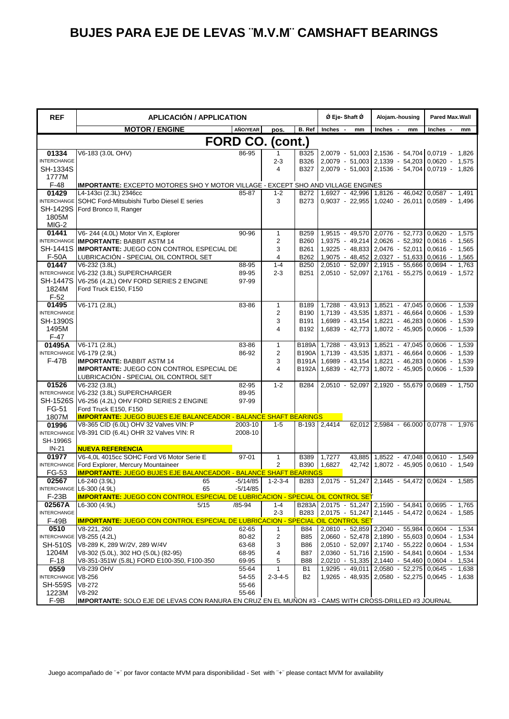| <b>REF</b>                   | <b>APLICACIÓN / APPLICATION</b>                                                                             |                |                                 |                          | Ø Eje-Shaft Ø                                                                                         | Alojam.-housing                                                                                  | <b>Pared Max.Wall</b> |
|------------------------------|-------------------------------------------------------------------------------------------------------------|----------------|---------------------------------|--------------------------|-------------------------------------------------------------------------------------------------------|--------------------------------------------------------------------------------------------------|-----------------------|
|                              | <b>MOTOR / ENGINE</b>                                                                                       | AÑO/YEAR       | pos.                            | B. Ref                   | Inches<br>mm                                                                                          | Inches<br>mm                                                                                     | Inches<br>mm          |
|                              |                                                                                                             |                | FORD CO. (cont.)                |                          |                                                                                                       |                                                                                                  |                       |
| 01334                        | V6-183 (3.0L OHV)                                                                                           | 86-95          | 1                               |                          | B325 2,0079 - 51,003 2,1536 - 54,704 0,0719 - 1,826                                                   |                                                                                                  |                       |
| <b>INTERCHANGE</b>           |                                                                                                             |                | $2 - 3$                         | B326                     |                                                                                                       | 2.0079 - 51.003 2.1339 - 54.203 0.0620 -                                                         | 1,575                 |
| SH-1334S                     |                                                                                                             |                | 4                               | <b>B327</b>              |                                                                                                       | $2,0079 - 51,003$ $2,1536 - 54,704$ 0.0719 -                                                     | 1,826                 |
| 1777M                        |                                                                                                             |                |                                 |                          |                                                                                                       |                                                                                                  |                       |
| $F-48$<br>01429              | IMPORTANTE: EXCEPTO MOTORES SHO Y MOTOR VILLAGE - EXCEPT SHO AND VILLAGE ENGINES<br>L4-143ci (2.3L) 2346cc  | 85-87          | $1 - 2$                         | B272                     |                                                                                                       | 1,6927 - 42,996 1,8126 - 46,042 0,0587 -                                                         | 1,491                 |
| <b>INTERCHANGE</b>           | SOHC Ford-Mitsubishi Turbo Diesel E series                                                                  |                | 3                               | B273                     |                                                                                                       | $0.9037 - 22.955$ 1.0240 - 26.011 0.0589 - 1.496                                                 |                       |
| <b>SH-1429S</b>              | Ford Bronco II, Ranger                                                                                      |                |                                 |                          |                                                                                                       |                                                                                                  |                       |
| 1805M                        |                                                                                                             |                |                                 |                          |                                                                                                       |                                                                                                  |                       |
| MIG-2                        |                                                                                                             |                |                                 |                          |                                                                                                       |                                                                                                  |                       |
| 01441                        | V6-244 (4.0L) Motor Vin X, Explorer                                                                         | 90-96          | $\mathbf{1}$                    | <b>B259</b>              |                                                                                                       | 1,9515 - 49,570 2,0776 - 52,773 0,0620 - 1,575                                                   |                       |
|                              | INTERCHANGE IMPORTANTE: BABBIT ASTM 14                                                                      |                | $\overline{2}$                  | <b>B260</b>              |                                                                                                       | 1,9375 - 49,214 2,0626 - 52,392 0,0616 -                                                         | 1,565                 |
| <b>SH-1441S</b><br>F-50A     | <b>IMPORTANTE: JUEGO CON CONTROL ESPECIAL DE</b><br>LUBRICACIÓN - SPECIAL OIL CONTROL SET                   |                | 3<br>4                          | B261<br>B262             |                                                                                                       | 1,9225 - 48,833 2,0476 - 52,011 0,0616 - 1,565<br>1,9075 - 48,452 2,0327 - 51,633 0,0616 - 1,565 |                       |
| 01447                        | V6-232 (3.8L)                                                                                               | 88-95          | $1 - 4$                         | <b>B250</b>              |                                                                                                       | 2,0510 - 52,097 2,1915 - 55,666 0,0694 - 1,763                                                   |                       |
|                              | INTERCHANGE V6-232 (3.8L) SUPERCHARGER                                                                      | 89-95          | $2 - 3$                         | B <sub>251</sub>         |                                                                                                       | 2,0510 - 52,097 2,1761 - 55,275 0,0619 - 1,572                                                   |                       |
| <b>SH-1447S</b>              | V6-256 (4.2L) OHV FORD SERIES 2 ENGINE                                                                      | 97-99          |                                 |                          |                                                                                                       |                                                                                                  |                       |
| 1824M                        | Ford Truck E150, F150                                                                                       |                |                                 |                          |                                                                                                       |                                                                                                  |                       |
| $F-52$                       |                                                                                                             |                |                                 |                          |                                                                                                       |                                                                                                  |                       |
| 01495                        | V6-171 (2.8L)                                                                                               | 83-86          | $\mathbf{1}$                    | B189                     |                                                                                                       | 1,7288 - 43,913 1,8521 - 47,045 0,0606 -                                                         | 1,539                 |
| <b>INTERCHANGE</b>           |                                                                                                             |                | $\overline{c}$<br>3             | B190                     |                                                                                                       | 1,7139 - 43,535 1,8371 - 46,664<br>1,6989 - 43,154 1,8221 - 46,283 0,0606 - 1,539                | $0,0606 -$<br>1,539   |
| SH-1390S<br>1495M            |                                                                                                             |                | $\overline{4}$                  | B191<br>B <sub>192</sub> |                                                                                                       | 1,6839 - 42,773 1,8072 - 45,905 0,0606 - 1,539                                                   |                       |
| $F-47$                       |                                                                                                             |                |                                 |                          |                                                                                                       |                                                                                                  |                       |
| 01495A                       | V6-171 (2.8L)                                                                                               | 83-86          | $\mathbf{1}$                    | <b>B189A</b>             | 1,7288 - 43,913 1,8521 - 47,045                                                                       |                                                                                                  | 0,0606<br>1,539       |
|                              | INTERCHANGE V6-179 (2.9L)                                                                                   | 86-92          | $\overline{2}$                  |                          | B190A 1,7139 - 43,535 1,8371 - 46,664 0,0606 -                                                        |                                                                                                  | 1,539                 |
| <b>F-47B</b>                 | <b>IMPORTANTE: BABBIT ASTM 14</b>                                                                           |                | 3                               | <b>B191A</b>             |                                                                                                       | 1,6989 - 43,154 1,8221 - 46,283 0,0606 -                                                         | 1,539                 |
|                              | <b>IMPORTANTE: JUEGO CON CONTROL ESPECIAL DE</b>                                                            |                | 4                               |                          | B192A 1,6839 - 42,773 1,8072 - 45,905 0,0606 -                                                        |                                                                                                  | 1,539                 |
|                              | LUBRICACIÓN - SPECIAL OIL CONTROL SET                                                                       |                |                                 |                          |                                                                                                       |                                                                                                  |                       |
| 01526<br><b>INTERCHANGE</b>  | V6-232 (3.8L)<br>V6-232 (3.8L) SUPERCHARGER                                                                 | 82-95<br>89-95 | $1 - 2$                         | <b>B284</b>              |                                                                                                       | 2,0510 - 52,097 2,1920 - 55,679 0,0689 -                                                         | 1,750                 |
| <b>SH-1526S</b>              | V6-256 (4.2L) OHV FORD SERIES 2 ENGINE                                                                      | 97-99          |                                 |                          |                                                                                                       |                                                                                                  |                       |
| FG-51                        | Ford Truck E150, F150                                                                                       |                |                                 |                          |                                                                                                       |                                                                                                  |                       |
| 1807M                        | <b>IMPORTANTE: JUEGO BUJES EJE BALANCEADOR - BALANCE SHAFT BEARINGS</b>                                     |                |                                 |                          |                                                                                                       |                                                                                                  |                       |
| 01996                        | V8-365 CID (6.0L) OHV 32 Valves VIN: P                                                                      | 2003-10        | $1 - 5$                         |                          | B-193 2,4414                                                                                          | 62,012 2,5984 - 66.000 0,0778 - 1,976                                                            |                       |
| <b>INTERCHANGE</b>           | V8-391 CID (6.4L) OHR 32 Valves VIN: R                                                                      | 2008-10        |                                 |                          |                                                                                                       |                                                                                                  |                       |
| <b>SH-1996S</b><br>$IN-21$   |                                                                                                             |                |                                 |                          |                                                                                                       |                                                                                                  |                       |
| 01977                        | <b>NUEVA REFERENCIA</b><br>V6-4.0L 4015cc SOHC Ford V6 Motor Serie E                                        | 97-01          | $\mathbf{1}$                    | <b>B389</b>              | 1.7277                                                                                                | 43,885 1,8522 - 47,048 0,0610 - 1,549                                                            |                       |
|                              | INTERCHANGE Ford Explorer, Mercury Mountaineer                                                              |                | $\overline{2}$                  |                          | B390 1,6827                                                                                           | 42.742 1.8072 - 45.905 0.0610 -                                                                  | 1,549                 |
| FG-53                        | <b>IMPORTANTE: JUEGO BUJES EJE BALANCEADOR - BALANCE SHAFT BEARINGS</b>                                     |                |                                 |                          |                                                                                                       |                                                                                                  |                       |
| 02567                        | L6-240 (3.9L)<br>65                                                                                         | $-5/14/85$     | $1 - 2 - 3 - 4$                 |                          | B283 2.0175 - 51.247 2.1445 - 54.472 0.0624 - 1.585                                                   |                                                                                                  |                       |
|                              | INTERCHANGE L6-300 (4.9L)<br>65                                                                             | $-5/14/85$     |                                 | $\blacksquare$           |                                                                                                       |                                                                                                  |                       |
| F-23B                        | <b>IMPORTANTE: JUEGO CON CONTROL ESPECIAL DE LUBRICACION - SPECIAL OIL CONTROL SET</b>                      |                |                                 |                          |                                                                                                       |                                                                                                  |                       |
| 02567A<br><b>INTERCHANGE</b> | L6-300 (4.9L)<br>5/15                                                                                       | /85-94         | $1 - 4$<br>$2 - 3$              |                          | B283A 2,0175 - 51,247 2,1590 - 54,841 0,0695 -<br>B283 2,0175 - 51,247 2,1445 - 54,472 0,0624 - 1,585 |                                                                                                  | 1,765                 |
| $F-49B$                      | <b>IMPORTANTE: JUEGO CON CONTROL ESPECIAL DE LUBRICACION - SPECIAL OIL CONTROL SET</b>                      |                |                                 |                          |                                                                                                       |                                                                                                  |                       |
| 0510                         | $\sqrt{8} - 221, 260$                                                                                       | 62-65          | $\mathbf{1}$                    | B84                      | 2,0810 - 52,859 2,2040 - 55,984                                                                       |                                                                                                  | $0,0604 -$<br>1,534   |
|                              | INTERCHANGE V8-255 (4.2L)                                                                                   | 80-82          | $\overline{\mathbf{c}}$         | <b>B85</b>               |                                                                                                       | 2,0660 - 52,478 2,1890 - 55,603 0,0604 -                                                         | 1,534                 |
| <b>SH-510S</b>               | V8-289 K, 289 W/2V, 289 W/4V                                                                                | 63-68          | 3                               | <b>B86</b>               |                                                                                                       | 2,0510 - 52,097 2,1740 - 55,222 0,0604 -                                                         | 1,534                 |
| 1204M                        | V8-302 (5.0L), 302 HO (5.0L) (82-95)                                                                        | 68-95          | 4                               | B87                      |                                                                                                       | 2,0360 - 51,716 2,1590 - 54,841 0,0604 - 1,534                                                   |                       |
| $F-18$                       | V8-351-351W (5.8L) FORD E100-350, F100-350                                                                  | 69-95          | 5                               | <b>B88</b>               |                                                                                                       | 2,0210 - 51,335 2,1440 - 54,460 0,0604 - 1,534                                                   |                       |
| 0559<br><b>INTERCHANGE</b>   | V8-239 OHV<br>V8-256                                                                                        | 55-64<br>54-55 | $\mathbf{1}$<br>$2 - 3 - 4 - 5$ | B1<br>B2                 |                                                                                                       | 1,9295 - 49,011 2,0580 - 52,275<br>1,9265 - 48,935   2,0580 - 52,275   0,0645 - 1,638            | $0,0645 -$<br>1,638   |
| <b>SH-559S</b>               | $V8-272$                                                                                                    | 55-66          |                                 |                          |                                                                                                       |                                                                                                  |                       |
| 1223M                        | V8-292                                                                                                      | 55-66          |                                 |                          |                                                                                                       |                                                                                                  |                       |
| F-9B                         | <b>IMPORTANTE:</b> SOLO EJE DE LEVAS CON RANURA EN CRUZ EN EL MUNON #3 - CAMS WITH CROSS-DRILLED #3 JOURNAL |                |                                 |                          |                                                                                                       |                                                                                                  |                       |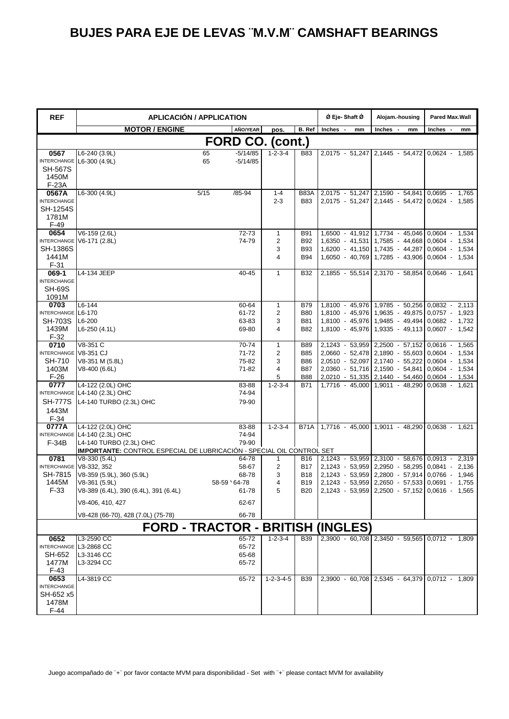| <b>REF</b>                                                                 |                                                                                                                                                                | <b>APLICACIÓN / APPLICATION</b> |                                                    |                                                   |                                                                    | Ø Eje-Shaft Ø                                      | Alojam.-housing                                                                                                                                                                                                                                        | Pared Max.Wall |  |
|----------------------------------------------------------------------------|----------------------------------------------------------------------------------------------------------------------------------------------------------------|---------------------------------|----------------------------------------------------|---------------------------------------------------|--------------------------------------------------------------------|----------------------------------------------------|--------------------------------------------------------------------------------------------------------------------------------------------------------------------------------------------------------------------------------------------------------|----------------|--|
|                                                                            | <b>MOTOR / ENGINE</b>                                                                                                                                          |                                 | AÑO/YEAR                                           | pos.                                              | B. Ref                                                             | <b>Inches</b><br>mm                                | Inches<br>mm                                                                                                                                                                                                                                           | Inches<br>mm   |  |
| FORD CO. (cont.)                                                           |                                                                                                                                                                |                                 |                                                    |                                                   |                                                                    |                                                    |                                                                                                                                                                                                                                                        |                |  |
| 0567<br><b>SH-567S</b><br>1450M                                            | L6-240 (3.9L)<br>INTERCHANGE L6-300 (4.9L)                                                                                                                     | 65<br>65                        | $-5/14/85$<br>$-5/14/85$                           | $1 - 2 - 3 - 4$                                   | <b>B83</b>                                                         |                                                    | 2,0175 - 51,247 2,1445 - 54,472 0,0624 - 1,585                                                                                                                                                                                                         |                |  |
| F-23A<br>0567A<br><b>INTERCHANGE</b><br><b>SH-1254S</b><br>1781M<br>$F-49$ | L6-300 (4.9L)                                                                                                                                                  | 5/15<br>$/85 - 94$              |                                                    | $1 - 4$<br>$2 - 3$                                | B83A<br><b>B83</b>                                                 |                                                    | 2,0175 - 51,247 2,1590 - 54,841 0,0695 - 1,765<br>2,0175 - 51,247 2,1445 - 54,472 0,0624 - 1,585                                                                                                                                                       |                |  |
| 0654<br><b>SH-1386S</b><br>1441M<br>$F-31$                                 | $V6-159(2.6L)$<br>INTERCHANGE V6-171 (2.8L)                                                                                                                    |                                 | 72-73<br>74-79                                     | $\mathbf{1}$<br>$\overline{2}$<br>3<br>4          | <b>B91</b><br><b>B92</b><br><b>B93</b><br><b>B94</b>               |                                                    | 1,6500 - 41,912 1,7734 - 45,046 0,0604 - 1,534<br>1,6350 - 41,531 1,7585 - 44,668 0,0604 -<br>1,6200 - 41,150 1,7435 - 44,287 0,0604 - 1,534<br>1,6050 - 40,769 1,7285 - 43,906 0,0604 - 1,534                                                         | 1,534          |  |
| 069-1<br><b>INTERCHANGE</b><br><b>SH-69S</b><br>1091M                      | L4-134 JEEP                                                                                                                                                    |                                 | 40-45                                              | $\mathbf{1}$                                      | <b>B32</b>                                                         |                                                    | 2,1855 - 55,514 2,3170 - 58,854 0,0646 -                                                                                                                                                                                                               | 1,641          |  |
| 0703<br>INTERCHANGE L6-170<br><b>SH-703S</b><br>1439M<br>$F-32$            | $L6 - 144$<br>L6-200<br>L6-250 (4.1L)                                                                                                                          |                                 | 60-64<br>61-72<br>63-83<br>69-80                   | $\mathbf{1}$<br>$\overline{\mathbf{c}}$<br>3<br>4 | <b>B79</b><br><b>B80</b><br><b>B81</b><br><b>B82</b>               |                                                    | 1,8100 - 45,976 1,9785 - 50,256 0,0832 - 2,113<br>1,8100 - 45,976 1,9635 - 49,875 0,0757 - 1,923<br>1,8100 - 45,976 1,9485 - 49,494 0,0682 - 1,732<br>1,8100 - 45,976 1,9335 - 49,113 0,0607 - 1,542                                                   |                |  |
| 0710<br>INTERCHANGE V8-351 CJ<br>SH-710<br>1403M<br>$F-26$                 | V8-351 C<br>V8-351 M (5.8L)<br>V8-400 (6.6L)                                                                                                                   |                                 | 70-74<br>71-72<br>75-82<br>71-82                   | 1<br>2<br>3<br>4<br>5                             | <b>B89</b><br><b>B85</b><br><b>B86</b><br><b>B87</b><br><b>B88</b> |                                                    | 2,1243 - 53,959 2,2500 - 57,152 0,0616 - 1,565<br>2,0660 - 52,478 2,1890 - 55,603 0,0604 - 1,534<br>2,0510 - 52,097 2,1740 - 55,222 0,0604 - 1,534<br>2,0360 - 51,716 2,1590 - 54,841 0,0604 - 1,534<br>2,0210 - 51,335 2,1440 - 54,460 0,0604 - 1,534 |                |  |
| 0777<br><b>SH-777S</b><br>1443M<br>$F-34$                                  | L4-122 (2.0L) OHC<br>INTERCHANGE L4-140 (2.3L) OHC<br>L4-140 TURBO (2.3L) OHC                                                                                  |                                 | 83-88<br>74-94<br>79-90                            | $1 - 2 - 3 - 4$                                   | B71                                                                |                                                    | 1,7716 - 45,000 1,9011 - 48,290 0,0638 - 1,621                                                                                                                                                                                                         |                |  |
| 0777A<br>$F-34B$                                                           | L4-122 (2.0L) OHC<br>INTERCHANGE L4-140 (2.3L) OHC<br>L4-140 TURBO (2.3L) OHC<br>IMPORTANTE: CONTROL ESPECIAL DE LUBRICACIÓN - SPECIAL OIL CONTROL SET         |                                 | 83-88<br>74-94<br>79-90                            | $1 - 2 - 3 - 4$                                   | <b>B71A</b>                                                        |                                                    | 1,7716 - 45,000 1,9011 - 48,290 0,0638 - 1,621                                                                                                                                                                                                         |                |  |
| 0781<br>INTERCHANGE V8-332, 352<br>SH-7815<br>1445M<br>$F-33$              | V8-330 (5.4L)<br>V8-359 (5.9L), 360 (5.9L)<br>V8-361 (5.9L)<br>V8-389 (6.4L), 390 (6.4L), 391 (6.4L)<br>V8-406, 410, 427<br>V8-428 (66-70), 428 (7.0L) (75-78) | 58-59 64-78                     | 64-78<br>58-67<br>68-78<br>61-78<br>62-67<br>66-78 | $\mathbf{1}$<br>2<br>3<br>4                       | <b>B16</b><br>B17<br><b>B18</b><br>B19                             | B20 2,1243 - 53,959 2,2500 - 57,152 0,0616 - 1,565 | 2,1243 - 53,959 2,3100 - 58,676 0,0913 - 2,319<br>2,1243 - 53,959 2,2950 - 58,295 0,0841 - 2,136<br>2,1243 - 53,959 2,2800 - 57,914 0,0766 - 1,946<br>2,1243 - 53,959 2,2650 - 57,533 0,0691 - 1,755                                                   |                |  |
|                                                                            |                                                                                                                                                                |                                 |                                                    |                                                   |                                                                    | <b>FORD - TRACTOR - BRITISH (INGLES)</b>           |                                                                                                                                                                                                                                                        |                |  |
| 0652<br>INTERCHANGE L3-2868 CC<br>SH-652<br>1477M<br>$F-43$<br>0653        | L3-2590 CC<br>L3-3146 CC<br>L3-3294 CC<br>L4-3819 CC                                                                                                           |                                 | 65-72<br>65-72<br>65-68<br>65-72<br>65-72          | $1 - 2 - 3 - 4$<br>$1 - 2 - 3 - 4 - 5$            | <b>B39</b><br><b>B39</b>                                           |                                                    | 2,3900 - 60,708 2,3450 - 59,565 0,0712 - 1,809<br>2,3900 - 60,708 2,5345 - 64,379 0,0712 - 1,809                                                                                                                                                       |                |  |
| <b>INTERCHANGE</b><br>SH-652 x5<br>1478M<br>$F-44$                         |                                                                                                                                                                |                                 |                                                    |                                                   |                                                                    |                                                    |                                                                                                                                                                                                                                                        |                |  |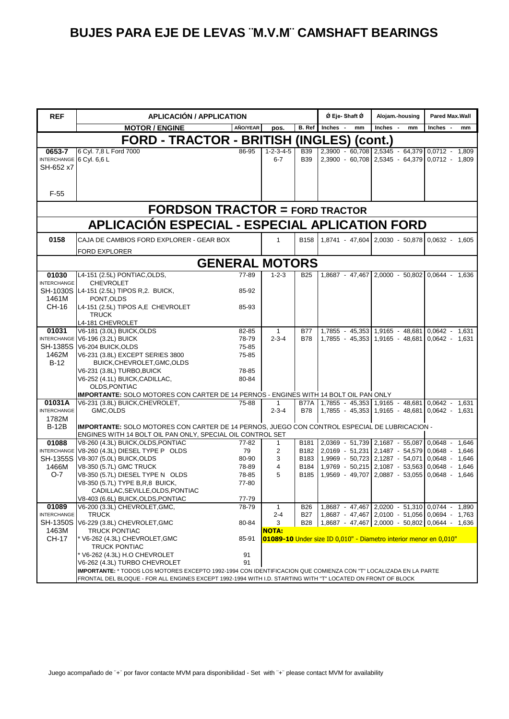| <b>REF</b>                                      | <b>APLICACIÓN / APPLICATION</b>                                                                                  |                |                                |                          | Ø Eje- Shaft Ø | Alojam.-housing                                                                                  | Pared Max.Wall   |  |  |  |
|-------------------------------------------------|------------------------------------------------------------------------------------------------------------------|----------------|--------------------------------|--------------------------|----------------|--------------------------------------------------------------------------------------------------|------------------|--|--|--|
|                                                 | <b>MOTOR / ENGINE</b>                                                                                            | AÑO/YEAR       | pos.                           | B. Ref                   | Inches -<br>mm | Inches -<br>mm                                                                                   | Inches -<br>mm   |  |  |  |
|                                                 | FORD - TRACTOR - BRITISH (INGLES) (cont.)                                                                        |                |                                |                          |                |                                                                                                  |                  |  |  |  |
| 0653-7<br>INTERCHANGE 6 Cyl. 6,6 L<br>SH-652 x7 | 6 Cyl. 7,8 L Ford 7000                                                                                           | 86-95          | $1 - 2 - 3 - 4 - 5$<br>$6 - 7$ | <b>B39</b><br><b>B39</b> |                | 2,3900 - 60,708 2,5345 - 64,379 0,0712 - 1,809<br>2,3900 - 60,708 2,5345 - 64,379 0,0712 - 1,809 |                  |  |  |  |
| $F-55$                                          |                                                                                                                  |                |                                |                          |                |                                                                                                  |                  |  |  |  |
| <b>FORDSON TRACTOR = FORD TRACTOR</b>           |                                                                                                                  |                |                                |                          |                |                                                                                                  |                  |  |  |  |
|                                                 | <b>APLICACIÓN ESPECIAL - ESPECIAL APLICATION FORD</b>                                                            |                |                                |                          |                |                                                                                                  |                  |  |  |  |
| 0158                                            | CAJA DE CAMBIOS FORD EXPLORER - GEAR BOX                                                                         |                | $\mathbf{1}$                   | <b>B158</b>              |                | 1,8741 - 47,604 2,0030 - 50,878 0,0632 - 1,605                                                   |                  |  |  |  |
|                                                 | <b>FORD EXPLORER</b>                                                                                             |                |                                |                          |                |                                                                                                  |                  |  |  |  |
|                                                 | <b>GENERAL MOTORS</b>                                                                                            |                |                                |                          |                |                                                                                                  |                  |  |  |  |
| 01030                                           | L4-151 (2.5L) PONTIAC, OLDS,                                                                                     | 77-89          | $1 - 2 - 3$                    | <b>B25</b>               |                | 1,8687 - 47,467 2,0000 - 50,802 0,0644 - 1,636                                                   |                  |  |  |  |
| <b>INTERCHANGE</b>                              | <b>CHEVROLET</b><br>SH-1030S L4-151 (2.5L) TIPOS R, 2. BUICK,                                                    | 85-92          |                                |                          |                |                                                                                                  |                  |  |  |  |
| 1461M<br>CH-16                                  | PONT, OLDS<br>L4-151 (2.5L) TIPOS A,E CHEVROLET                                                                  | 85-93          |                                |                          |                |                                                                                                  |                  |  |  |  |
|                                                 | <b>TRUCK</b>                                                                                                     |                |                                |                          |                |                                                                                                  |                  |  |  |  |
| 01031                                           | L4-181 CHEVROLET<br>V6-181 (3.0L) BUICK, OLDS                                                                    | 82-85          | $\mathbf{1}$                   | <b>B77</b>               |                | 1,7855 - 45,353 1,9165 - 48,681 0,0642 - 1,631                                                   |                  |  |  |  |
|                                                 | INTERCHANGE V6-196 (3.2L) BUICK                                                                                  | 78-79          | $2 - 3 - 4$                    | <b>B78</b>               |                | 1,7855 - 45,353 1,9165 - 48,681 0,0642 - 1,631                                                   |                  |  |  |  |
|                                                 | SH-1385S V6-204 BUICK, OLDS                                                                                      | 75-85          |                                |                          |                |                                                                                                  |                  |  |  |  |
| 1462M                                           | V6-231 (3.8L) EXCEPT SERIES 3800                                                                                 | 75-85          |                                |                          |                |                                                                                                  |                  |  |  |  |
| $B-12$                                          | BUICK, CHEVROLET, GMC, OLDS                                                                                      |                |                                |                          |                |                                                                                                  |                  |  |  |  |
|                                                 | V6-231 (3.8L) TURBO, BUICK                                                                                       | 78-85          |                                |                          |                |                                                                                                  |                  |  |  |  |
|                                                 | V6-252 (4.1L) BUICK, CADILLAC,                                                                                   | 80-84          |                                |                          |                |                                                                                                  |                  |  |  |  |
|                                                 | OLDS, PONTIAC<br>IMPORTANTE: SOLO MOTORES CON CARTER DE 14 PERNOS - ENGINES WITH 14 BOLT OIL PAN ONLY            |                |                                |                          |                |                                                                                                  |                  |  |  |  |
| 01031A                                          | V6-231 (3.8L) BUICK, CHEVROLET,                                                                                  | 75-88          | -1                             |                          |                | B77A 1,7855 - 45,353 1,9165 - 48,681 0,0642 - 1,631                                              |                  |  |  |  |
| <b>INTERCHANGE</b>                              | GMC, OLDS                                                                                                        |                | $2 - 3 - 4$                    | B78                      |                | 1,7855 - 45,353 1,9165 - 48,681 0,0642 - 1,631                                                   |                  |  |  |  |
| 1782M                                           |                                                                                                                  |                |                                |                          |                |                                                                                                  |                  |  |  |  |
| <b>B-12B</b>                                    | IMPORTANTE: SOLO MOTORES CON CARTER DE 14 PERNOS, JUEGO CON CONTROL ESPECIAL DE LUBRICACION -                    |                |                                |                          |                |                                                                                                  |                  |  |  |  |
| 01088                                           | ENGINES WITH 14 BOLT OIL PAN ONLY, SPECIAL OIL CONTROL SET<br>V8-260 (4.3L) BUICK, OLDS, PONTIAC                 | 77-82          | 1                              |                          |                | B181 2,0369 - 51,739 2,1687 - 55,087 0,0648 - 1,646                                              |                  |  |  |  |
|                                                 | INTERCHANGE V8-260 (4.3L) DIESEL TYPE P OLDS                                                                     | 79             | $\overline{c}$                 | B <sub>182</sub>         |                | 2,0169 - 51,231 2,1487 - 54,579 0,0648 - 1,646                                                   |                  |  |  |  |
|                                                 | SH-1355S V8-307 (5.0L) BUICK, OLDS                                                                               | 80-90          | 3                              | B183                     |                | 1,9969 - 50,723 2,1287 - 54,071                                                                  | $0.0648 - 1.646$ |  |  |  |
| 1466M                                           | V8-350 (5.7L) GMC TRUCK                                                                                          | 78-89          | 4                              | B184                     |                | 1,9769 - 50,215 2,1087 - 53,563 0,0648 -                                                         | 1,646            |  |  |  |
| $O-7$                                           | V8-350 (5.7L) DIESEL TYPE N OLDS                                                                                 | 78-85          | 5                              | B <sub>185</sub>         |                | 1,9569 - 49,707 2,0887 - 53,055 0,0648 -                                                         | 1,646            |  |  |  |
|                                                 | V8-350 (5.7L) TYPE B, R, 8 BUICK,                                                                                | 77-80          |                                |                          |                |                                                                                                  |                  |  |  |  |
|                                                 | CADILLAC, SEVILLE, OLDS, PONTIAC                                                                                 |                |                                |                          |                |                                                                                                  |                  |  |  |  |
| 01089                                           | V8-403 (6.6L) BUICK,OLDS,PONTIAC<br>V6-200 (3.3L) CHEVROLET, GMC,                                                | 77-79<br>78-79 | 1                              | <b>B26</b>               |                | 1,8687 - 47,467 2,0200 - 51,310 0,0744 - 1,890                                                   |                  |  |  |  |
| <b>INTERCHANGE</b>                              | <b>TRUCK</b>                                                                                                     |                | $2 - 4$                        | <b>B27</b>               |                | 1,8687 - 47,467 2,0100 - 51,056 0,0694 - 1,763                                                   |                  |  |  |  |
|                                                 | SH-1350S V6-229 (3.8L) CHEVROLET, GMC                                                                            | 80-84          | 3                              | <b>B28</b>               |                | 1,8687 - 47,467 2,0000 - 50,802 0,0644 - 1,636                                                   |                  |  |  |  |
| 1463M                                           | <b>TRUCK PONTIAC</b>                                                                                             |                | <b>NOTA:</b>                   |                          |                |                                                                                                  |                  |  |  |  |
| <b>CH-17</b>                                    | * V6-262 (4.3L) CHEVROLET,GMC                                                                                    | 85-91          |                                |                          |                | 01089-10 Under size ID 0,010" - Diametro interior menor en 0,010"                                |                  |  |  |  |
|                                                 | <b>TRUCK PONTIAC</b>                                                                                             | 91             |                                |                          |                |                                                                                                  |                  |  |  |  |
|                                                 | * V6-262 (4.3L) H.O CHEVROLET<br>V6-262 (4.3L) TURBO CHEVROLET                                                   | 91             |                                |                          |                |                                                                                                  |                  |  |  |  |
|                                                 | IMPORTANTE: * TODOS LOS MOTORES EXCEPTO 1992-1994 CON IDENTIFICACION QUE COMIENZA CON "T" LOCALIZADA EN LA PARTE |                |                                |                          |                |                                                                                                  |                  |  |  |  |
|                                                 | FRONTAL DEL BLOQUE - FOR ALL ENGINES EXCEPT 1992-1994 WITH I.D. STARTING WITH "T" LOCATED ON FRONT OF BLOCK      |                |                                |                          |                |                                                                                                  |                  |  |  |  |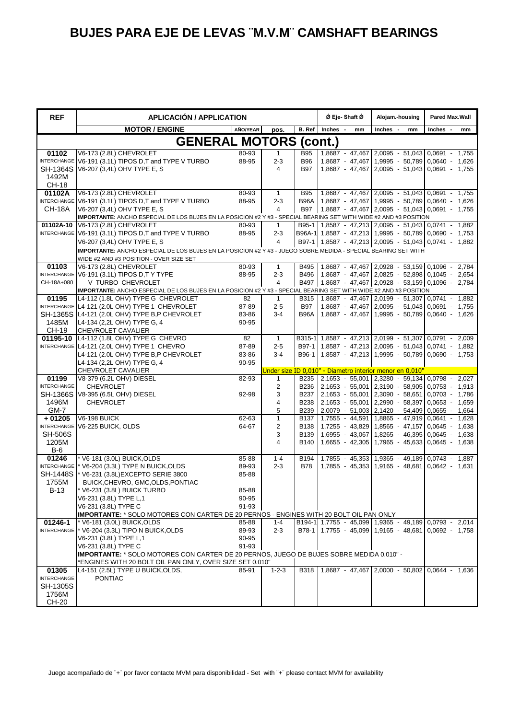| <b>REF</b>                     | <b>APLICACIÓN / APPLICATION</b>                                                                                                              |                |                    |                     | Ø Eje-Shaft Ø  | Alojam.-housing                                                                                            | Pared Max.Wall |
|--------------------------------|----------------------------------------------------------------------------------------------------------------------------------------------|----------------|--------------------|---------------------|----------------|------------------------------------------------------------------------------------------------------------|----------------|
|                                | <b>MOTOR / ENGINE</b>                                                                                                                        | AÑO/YEAR       | pos.               | B. Ref              | Inches -<br>mm | Inches -<br>mm                                                                                             | Inches -<br>mm |
|                                | <b>GENERAL MOTORS (cont.)</b>                                                                                                                |                |                    |                     |                |                                                                                                            |                |
| 01102                          | V6-173 (2.8L) CHEVROLET                                                                                                                      | 80-93          | 1.                 | <b>B95</b>          |                | 1,8687 - 47,467 2,0095 - 51,043 0,0691 - 1,755                                                             |                |
|                                | INTERCHANGE V6-191 (3.1L) TIPOS D,T and TYPE V TURBO                                                                                         | 88-95          | $2 - 3$            | <b>B96</b>          |                | 1,8687 - 47,467 1,9995 - 50,789 0,0640 - 1,626                                                             |                |
| <b>SH-1364S</b><br>1492M       | V6-207 (3,4L) OHV TYPE E, S                                                                                                                  |                | 4                  | <b>B97</b>          |                | 1,8687 - 47,467 2,0095 - 51,043 0,0691 - 1,755                                                             |                |
| CH-18                          |                                                                                                                                              |                |                    |                     |                |                                                                                                            |                |
| 01102A                         | V6-173 (2.8L) CHEVROLET                                                                                                                      | 80-93          | $\mathbf{1}$       | <b>B</b> 95         |                | 1,8687 - 47,467 2,0095 - 51,043 0,0691 - 1,755                                                             |                |
|                                | INTERCHANGE V6-191 (3.1L) TIPOS D,T and TYPE V TURBO                                                                                         | 88-95          | $2 - 3$            | <b>B96A</b>         |                | 1,8687 - 47,467 1,9995 - 50,789 0,0640 - 1,626                                                             |                |
| <b>CH-18A</b>                  | V6-207 (3.4L) OHV TYPE E. S                                                                                                                  |                | 4                  |                     |                | B97   1,8687 - 47,467   2,0095 - 51,043   0,0691 - 1,755                                                   |                |
| 01102A-10                      | IMPORTANTE: ANCHO ESPECIAL DE LOS BUJES EN LA POSICION #2 Y #3 - SPECIAL BEARING SET WITH WIDE #2 AND #3 POSITION<br>V6-173 (2.8L) CHEVROLET | 80-93          | 1                  |                     |                | B95-1   1,8587 - 47,213   2,0095 - 51,043   0,0741 -                                                       | 1.882          |
|                                | INTERCHANGE V6-191 (3.1L) TIPOS D,T and TYPE V TURBO                                                                                         | 88-95          | $2 - 3$            |                     |                | B96A-1 1,8587 - 47,213 1,9995 - 50,789 0,0690 -                                                            | 1,753          |
|                                | V6-207 (3,4L) OHV TYPE E, S                                                                                                                  |                | 4                  |                     |                | B97-1   1,8587 - 47,213   2,0095 - 51,043   0,0741 -                                                       | 1,882          |
|                                | IMPORTANTE: ANCHO ESPECIAL DE LOS BUJES EN LA POSICION #2 Y #3 - JUEGO SOBRE MEDIDA - SPECIAL BEARING SET WITH                               |                |                    |                     |                |                                                                                                            |                |
|                                | WIDE #2 AND #3 POSITION - OVER SIZE SET                                                                                                      |                |                    |                     |                |                                                                                                            |                |
| 01103                          | V6-173 (2.8L) CHEVROLET                                                                                                                      | 80-93          | $\mathbf{1}$       | B495                |                | 1,8687 - 47,467 2,0928 - 53,159 0,1096 - 2,784                                                             |                |
| CH-18A+080                     | INTERCHANGE V6-191 (3.1L) TIPOS D, T Y TYPE<br>V TURBO CHEVROLET                                                                             | 88-95          | $2 - 3$<br>4       |                     |                | B496 1,8687 - 47,467 2,0825 - 52,898 0,1045 - 2,654<br>B497 1,8687 - 47,467 2,0928 - 53,159 0,1096 - 2,784 |                |
|                                | IMPORTANTE: ANCHO ESPECIAL DE LOS BUJES EN LA POSICION #2 Y #3 - SPECIAL BEARING SET WITH WIDE #2 AND #3 POSITION                            |                |                    |                     |                |                                                                                                            |                |
| 01195                          | L4-112 (1.8L OHV) TYPE G CHEVROLET                                                                                                           | 82             | $\mathbf{1}$       | B315                |                | 1,8687 - 47,467 2,0199 - 51,307 0,0741 - 1,882                                                             |                |
|                                | INTERCHANGE L4-121 (2.0L OHV) TYPE 1 CHEVROLET                                                                                               | 87-89          | $2 - 5$            | <b>B97</b>          |                | 1,8687 - 47,467 2,0095 - 51,043 0,0691 - 1,755                                                             |                |
|                                | SH-1365S L4-121 (2.0L OHV) TYPE B,P CHEVROLET                                                                                                | 83-86          | $3 - 4$            | <b>B96A</b>         |                | 1.8687 - 47.467 1.9995 - 50.789 0.0640 - 1.626                                                             |                |
| 1485M                          | L4-134 (2,2L OHV) TYPE G, 4                                                                                                                  | 90-95          |                    |                     |                |                                                                                                            |                |
| CH-19<br>01195-10              | <b>CHEVROLET CAVALIER</b><br>L4-112 (1.8L OHV) TYPE G CHEVRO                                                                                 | 82             | $\mathbf{1}$       |                     |                | B315-1 1,8587 - 47,213 2,0199 - 51,307 0,0791 - 2,009                                                      |                |
|                                | INTERCHANGE L4-121 (2.0L OHV) TYPE 1 CHEVRO                                                                                                  | 87-89          | $2 - 5$            |                     |                | B97-1 1,8587 - 47,213 2,0095 - 51,043 0,0741 - 1,882                                                       |                |
|                                | L4-121 (2.0L OHV) TYPE B,P CHEVROLET                                                                                                         | 83-86          | $3 - 4$            | B96-1               |                | 1,8587 - 47,213 1,9995 - 50,789 0,0690 - 1,753                                                             |                |
|                                | L4-134 (2,2L OHV) TYPE G, 4                                                                                                                  | 90-95          |                    |                     |                |                                                                                                            |                |
|                                | CHEVROLET CAVALIER                                                                                                                           |                |                    |                     |                | Under size ID 0,010" - Diametro interior menor en 0,010"                                                   |                |
| 01199<br><b>INTERCHANGE</b>    | V8-379 (6.2L OHV) DIESEL<br><b>CHEVROLET</b>                                                                                                 | 82-93          | $\mathbf{1}$<br>2  | B236                |                | B235 2,1653 - 55,001 2,3280 - 59,134 0,0798 - 2,027<br>2,1653 - 55,001 2,3190 - 58,905 0,0753 - 1,913      |                |
|                                | SH-1366S V8-395 (6.5L OHV) DIESEL                                                                                                            | 92-98          | 3                  | B237                |                | 2,1653 - 55,001 2,3090 - 58,651 0,0703 - 1,786                                                             |                |
| 1496M                          | <b>CHEVROLET</b>                                                                                                                             |                | 4                  | <b>B238</b>         |                | 2,1653 - 55,001   2,2990 - 58,397   0,0653 - 1,659                                                         |                |
| GM-7                           |                                                                                                                                              |                | 5                  | <b>B239</b>         |                | 2,0079 - 51,003 2,1420 - 54,409 0,0655 - 1,664                                                             |                |
| $+01205$                       | <b>V6-198 BUICK</b>                                                                                                                          | 62-63          | $\mathbf{1}$       | B <sub>137</sub>    |                | 1,7555 - 44,591 1,8865 - 47,919 0,0641 - 1,628                                                             |                |
| <b>SH-506S</b>                 | INTERCHANGE V6-225 BUICK, OLDS                                                                                                               | 64-67          | 2<br>3             | <b>B138</b><br>B139 |                | $1,7255 - 43,829$ 1,8565 - 47,157 0,0645 -<br>1,6955 - 43,067 1,8265 - 46,395 0,0645 -                     | 1,638<br>1,638 |
| 1205M                          |                                                                                                                                              |                | 4                  | B140                |                | 1,6655 - 42,305 1,7965 - 45,633 0,0645 - 1,638                                                             |                |
| B-6                            |                                                                                                                                              |                |                    |                     |                |                                                                                                            |                |
| 01246                          | * V6-181 (3.0L) BUICK,OLDS                                                                                                                   | 85-88          | $1 - 4$            | B194                |                | $1,7855 - 45,353$ 1,9365 - 49,189 0,0743 -                                                                 | 1,887          |
|                                | INTERCHANGE * V6-204 (3.3L) TYPE N BUICK, OLDS                                                                                               | 89-93          | $2 - 3$            | <b>B78</b>          |                | 1,7855 - 45,353 1,9165 - 48,681 0,0642 - 1,631                                                             |                |
| <b>SH-1448S</b><br>1755M       | * V6-231 (3.8L) EXCEPTO SERIE 3800<br>BUICK, CHEVRO, GMC, OLDS, PONTIAC                                                                      | 85-88          |                    |                     |                |                                                                                                            |                |
| $B-13$                         | V6-231 (3.8L) BUICK TURBO                                                                                                                    | 85-88          |                    |                     |                |                                                                                                            |                |
|                                | V6-231 (3.8L) TYPE L,1                                                                                                                       | 90-95          |                    |                     |                |                                                                                                            |                |
|                                | V6-231 (3.8L) TYPE C                                                                                                                         | 91-93          |                    |                     |                |                                                                                                            |                |
|                                | <b>IMPORTANTE:</b> * SOLO MOTORES CON CARTER DE 20 PERNOS - ENGINES WITH 20 BOLT OIL PAN ONLY                                                |                |                    |                     |                |                                                                                                            |                |
| 01246-1                        | * V6-181 (3.0L) BUICK,OLDS<br>INTERCHANGE * V6-204 (3.3L) TIPO N BUICK, OLDS                                                                 | 85-88<br>89-93 | $1 - 4$<br>$2 - 3$ |                     |                | B194-1 1,7755 - 45,099 1,9365 - 49,189 0,0793 - 2,014                                                      |                |
|                                | V6-231 (3.8L) TYPE L,1                                                                                                                       | 90-95          |                    |                     |                | B78-1 1,7755 - 45,099 1,9165 - 48,681 0,0692 - 1,758                                                       |                |
|                                | V6-231 (3.8L) TYPE C                                                                                                                         | 91-93          |                    |                     |                |                                                                                                            |                |
|                                | IMPORTANTE: * SOLO MOTORES CON CARTER DE 20 PERNOS, JUEGO DE BUJES SOBRE MEDIDA 0.010" -                                                     |                |                    |                     |                |                                                                                                            |                |
|                                | ENGINES WITH 20 BOLT OIL PAN ONLY, OVER SIZE SET 0.010"                                                                                      |                |                    |                     |                |                                                                                                            |                |
| 01305                          | L4-151 (2.5L) TYPE U BUICK, OLDS,                                                                                                            | 85-91          | $1 - 2 - 3$        | <b>B318</b>         |                | 1.8687 - 47.467 2.0000 - 50.802 0.0644 - 1.636                                                             |                |
| <b>INTERCHANGE</b><br>SH-1305S | <b>PONTIAC</b>                                                                                                                               |                |                    |                     |                |                                                                                                            |                |
| 1756M                          |                                                                                                                                              |                |                    |                     |                |                                                                                                            |                |
| <b>CH-20</b>                   |                                                                                                                                              |                |                    |                     |                |                                                                                                            |                |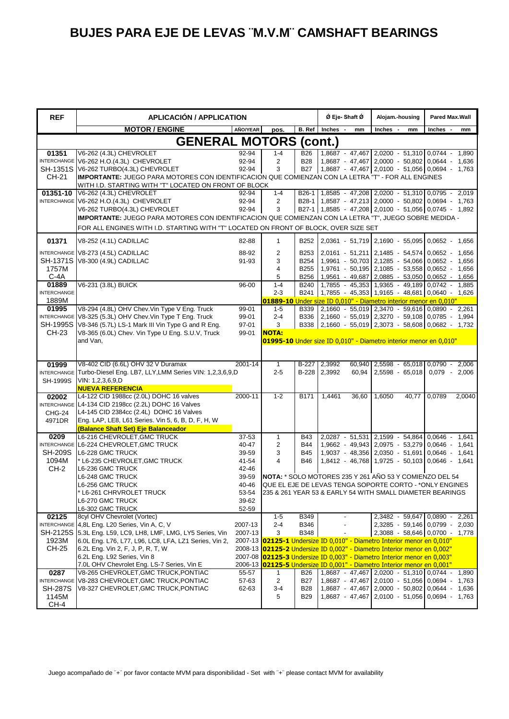| <b>REF</b>         | <b>APLICACIÓN / APPLICATION</b>                                                                                                             |                    |                |                     | Ø Eje-Shaft Ø         | Alojam.-housing                                                                              | <b>Pared Max.Wall</b>     |
|--------------------|---------------------------------------------------------------------------------------------------------------------------------------------|--------------------|----------------|---------------------|-----------------------|----------------------------------------------------------------------------------------------|---------------------------|
|                    | <b>MOTOR / ENGINE</b>                                                                                                                       | AÑO/YEAR           | pos.           | B. Ref              | <b>Inches</b><br>mm   | Inches<br>mm                                                                                 | <b>Inches</b><br>mm       |
|                    | <b>GENERAL MOTORS (cont.)</b>                                                                                                               |                    |                |                     |                       |                                                                                              |                           |
| 01351              | V6-262 (4.3L) CHEVROLET                                                                                                                     | 92-94              | $1 - 4$        | <b>B26</b>          |                       | 1,8687 - 47,467 2,0200 - 51,310 0,0744 -                                                     | 1,890                     |
|                    | INTERCHANGE V6-262 H.O.(4.3L) CHEVROLET                                                                                                     | 92-94              | $\overline{2}$ | <b>B28</b>          |                       | 1,8687 - 47,467 2,0000 - 50,802 0,0644 -                                                     | 1.636                     |
| CH-21              | SH-1351S V6-262 TURBO(4.3L) CHEVROLET<br>IMPORTANTE: JUEGO PARA MOTORES CON IDENTIFICACION QUE COMIENZAN CON LA LETRA "T" - FOR ALL ENGINES | 92-94              | 3              |                     |                       | B27   1,8687 - 47,467   2,0100 - 51,056   0,0694 - 1,763                                     |                           |
|                    | WITH I.D. STARTING WITH "T" LOCATED ON FRONT OF BLOCK                                                                                       |                    |                |                     |                       |                                                                                              |                           |
| 01351-10           | V6-262 (4.3L) CHEVROLET                                                                                                                     | 92-94              | $1 - 4$        | B <sub>26</sub> -1  |                       | 1,8585 - 47,208 2,0200 - 51,310 0,0795 - 2,019                                               |                           |
|                    | INTERCHANGE V6-262 H.O.(4.3L) CHEVROLET                                                                                                     | 92-94              | $\overline{2}$ | B28-1               |                       | 1,8587 - 47,213 2,0000 - 50,802 0,0694 - 1,763                                               |                           |
|                    | V6-262 TURBO(4.3L) CHEVROLET                                                                                                                | 92-94              | 3              |                     |                       | B27-1 1,8585 - 47,208 2,0100 - 51,056 0,0745 - 1,892                                         |                           |
|                    | IMPORTANTE: JUEGO PARA MOTORES CON IDENTIFICACION QUE COMIENZAN CON LA LETRA "T", JUEGO SOBRE MEDIDA -                                      |                    |                |                     |                       |                                                                                              |                           |
|                    | FOR ALL ENGINES WITH I.D. STARTING WITH "T" LOCATED ON FRONT OF BLOCK, OVER SIZE SET                                                        |                    |                |                     |                       |                                                                                              |                           |
| 01371              | V8-252 (4.1L) CADILLAC                                                                                                                      | 82-88              | $\mathbf{1}$   | B <sub>252</sub>    |                       | 2,0361 - 51,719 2,1690 - 55,095 0,0652 -                                                     | 1,656                     |
|                    | INTERCHANGE V8-273 (4.5L) CADILLAC                                                                                                          | 88-92              | $\overline{c}$ | B <sub>253</sub>    |                       | 2,0161 - 51,211 2,1485 - 54,574 0,0652 -                                                     | 1,656                     |
|                    | SH-1371S V8-300 (4.9L) CADILLAC                                                                                                             | 91-93              | 3              | B254                |                       | 1,9961 - 50,703 2,1285 - 54,066 0,0652 -                                                     | 1,656                     |
| 1757M<br>$C-4A$    |                                                                                                                                             |                    | 4<br>5         | B255                |                       | 1,9761 - 50,195 2,1085 - 53,558 0,0652 -                                                     | 1,656                     |
| 01889              | V6-231 (3.8L) BUICK                                                                                                                         | 96-00              | $1 - 4$        | B256<br><b>B240</b> |                       | 1,9561 - 49,687 2,0885 - 53,050 0,0652 - 1,656<br>$1,7855 - 45,353$ 1,9365 - 49,189 0,0742 - | 1,885                     |
| <b>INTERCHANGE</b> |                                                                                                                                             |                    | $2 - 3$        |                     |                       | B241 1,7855 - 45,353 1,9165 - 48,681 0,0640 - 1,626                                          |                           |
| 1889M              |                                                                                                                                             |                    |                |                     |                       | 01889-10 Under size ID 0,010" - Diametro interior menor en 0,010"                            |                           |
| 01995              | V8-294 (4.8L) OHV Chev. Vin Type V Eng. Truck                                                                                               | 99-01              | $1 - 5$        | B339                |                       | $\mid$ 2,1660 - 55,019 2,3470 - 59,616 0,0890 -                                              | 2,261                     |
|                    | INTERCHANGE V8-325 (5.3L) OHV Chev. Vin Type T Eng. Truck                                                                                   | 99-01              | $2 - 4$        |                     |                       | B336 2,1660 - 55,019 2,3270 - 59,108 0,0785                                                  | 1,994                     |
| <b>SH-1995S</b>    | V8-346 (5.7L) LS-1 Mark III Vin Type G and R Eng.                                                                                           | 97-01              | 3              |                     |                       | B338 2,1660 - 55,019 2,3073 - 58,608 0,0682 - 1,732                                          |                           |
| CH-23              | V8-365 (6.0L) Chev. Vin Type U Eng. S.U.V, Truck                                                                                            | 99-01              | <b>NOTA:</b>   |                     |                       |                                                                                              |                           |
|                    | and Van,                                                                                                                                    |                    |                |                     |                       | 01995-10 Under size ID 0,010" - Diametro interior menor en 0,010"                            |                           |
|                    |                                                                                                                                             |                    |                |                     |                       |                                                                                              |                           |
| 01999              | V8-402 CID (6.6L) OHV 32 V Duramax                                                                                                          | 2001-14            | 1              | B-227               | 2,3992<br>60,940      | $2,5598 - 65,018$ 0,0790 -                                                                   | 2,006                     |
|                    | INTERCHANGE Turbo-Diesel Eng. LB7, LLY, LMM Series VIN: 1,2,3,6,9, D                                                                        |                    | $2 - 5$        |                     | B-228 2,3992<br>60,94 | $2,5598 - 65,018$ 0.079 -                                                                    | 2,006                     |
| SH-1999S           | VIN: 1, 2, 3, 6, 9, D                                                                                                                       |                    |                |                     |                       |                                                                                              |                           |
|                    | <b>NUEVA REFERENCIA</b><br>L4-122 CID 1988cc (2.0L) DOHC 16 valves                                                                          | 2000-11            | $1 - 2$        | <b>B171</b>         | 1,4461<br>36,60       | 1,6050<br>40,77                                                                              | 0,0789<br>2,0040          |
| 02002              | INTERCHANGE L4-134 CID 2198cc (2.2L) DOHC 16 Valves                                                                                         |                    |                |                     |                       |                                                                                              |                           |
| <b>CHG-24</b>      | L4-145 CID 2384cc (2.4L) DOHC 16 Valves                                                                                                     |                    |                |                     |                       |                                                                                              |                           |
| 4971DR             | Eng. LAP, LE8, L61 Series. Vin 5, 6, B, D, F, H, W                                                                                          |                    |                |                     |                       |                                                                                              |                           |
|                    | (Balance Shaft Set) Eje Balanceador                                                                                                         |                    |                |                     |                       |                                                                                              |                           |
| 0209               | L6-216 CHEVROLET, GMC TRUCK                                                                                                                 | 37-53              | $\mathbf{1}$   | <b>B43</b>          |                       | 2,0287 - 51,531 2,1599 - 54,864 0,0646                                                       | 1,641<br>$\blacksquare$   |
|                    | INTERCHANGE L6-224 CHEVROLET, GMC TRUCK                                                                                                     | 40-47              | $\overline{2}$ | <b>B44</b>          |                       | 1,9662 - 49,943 2,0975 - 53,279 0,0646 -                                                     | 1,641                     |
| <b>SH-209S</b>     | L6-228 GMC TRUCK                                                                                                                            | 39-59              | 3              | <b>B45</b>          |                       | 1,9037 - 48,356 2,0350 - 51,691                                                              | 0,0646<br>1,641<br>$\sim$ |
| 1094M<br>$CH-2$    | L6-235 CHEVROLET, GMC TRUCK<br>L6-236 GMC TRUCK                                                                                             | 41-54<br>42-46     | 4              | <b>B46</b>          |                       | 1,8412 - 46,768 1,9725 - 50,103 0,0646 -                                                     | 1,641                     |
|                    | L6-248 GMC TRUCK                                                                                                                            | 39-59              |                |                     |                       | NOTA: * SOLO MOTORES 235 Y 261 AÑO 53 Y COMIENZO DEL 54                                      |                           |
|                    | L6-256 GMC TRUCK                                                                                                                            | 40-46              |                |                     |                       | QUE EL EJE DE LEVAS TENGA SOPORTE CORTO - *ONLY ENGINES                                      |                           |
|                    | L6-261 CHRVROLET TRUCK                                                                                                                      | 53-54              |                |                     |                       | 235 & 261 YEAR 53 & EARLY 54 WITH SMALL DIAMETER BEARINGS                                    |                           |
|                    | L6-270 GMC TRUCK                                                                                                                            | 39-62              |                |                     |                       |                                                                                              |                           |
|                    | L6-302 GMC TRUCK                                                                                                                            | 52-59              |                |                     |                       |                                                                                              |                           |
| 02125              | 8cyl OHV Chevrolet (Vortec)                                                                                                                 |                    | $1 - 5$        | <b>B349</b>         |                       | 2,3482 - 59,647 0,0890 - 2,261<br>2,3285 - 59,146 0,0799 - 2,030                             |                           |
| SH-2125S           | INTERCHANGE 4,8L Eng. L20 Series, Vin A, C, V<br>5.3L Eng. L59, LC9, LH8, LMF, LMG, LY5 Series, Vin                                         | 2007-13<br>2007-13 | $2 - 4$<br>3   | B346<br><b>B348</b> |                       | 2,3088 - 58,646 0,0700 - 1,778                                                               |                           |
| 1923M              | 6.0L Eng. L76, L77, L96, LC8, LFA, LZ1 Series, Vin 2,                                                                                       |                    |                |                     |                       | 2007-13 02125-1 Undersize ID 0,010" - Diametro Interior menor en 0,010"                      |                           |
| CH-25              | 6.2L Eng. Vin 2, F, J, P, R, T, W                                                                                                           |                    |                |                     |                       | 2008-13 02125-2 Undersize ID 0,002" - Diametro Interior menor en 0,002"                      |                           |
|                    | 6.2L Eng. L92 Series, Vin 8                                                                                                                 |                    |                |                     |                       | 2007-08 02125-3 Undersize ID 0,003" - Diametro Interior menor en 0,003"                      |                           |
|                    | 7.0L OHV Chevrolet Eng. LS-7 Series, Vin E                                                                                                  |                    |                |                     |                       | 2006-13 02125-5 Undersize ID 0,001" - Diametro Interior menor en 0,001"                      |                           |
| 0287               | V8-265 CHEVROLET, GMC TRUCK, PONTIAC                                                                                                        | 55-57              | 1              | B26                 |                       | 1,8687 - 47,467 2,0200 - 51,310 0,0744 - 1,890                                               |                           |
| <b>INTERCHANGE</b> | V8-283 CHEVROLET, GMC TRUCK, PONTIAC                                                                                                        | 57-63              | $\overline{2}$ | <b>B27</b>          |                       | 1,8687 - 47,467 2,0100 - 51,056 0,0694 -                                                     | 1,763                     |
| <b>SH-287S</b>     | V8-327 CHEVROLET, GMC TRUCK, PONTIAC                                                                                                        | 62-63              | $3 - 4$        | <b>B28</b>          |                       | 1,8687 - 47,467 2,0000 - 50,802 0,0644 -<br>1,8687 - 47,467 2,0100 - 51,056 0,0694 - 1,763   | 1,636                     |
| 1145M<br>CH-4      |                                                                                                                                             |                    | 5              | <b>B29</b>          |                       |                                                                                              |                           |
|                    |                                                                                                                                             |                    |                |                     |                       |                                                                                              |                           |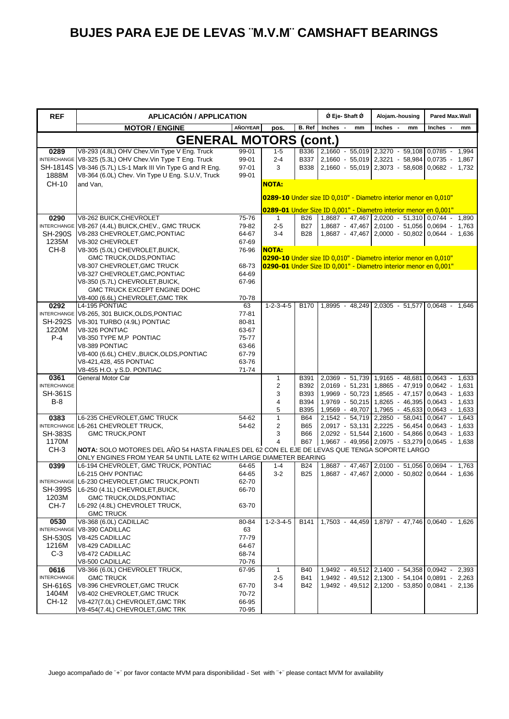| <b>REF</b>                 | <b>APLICACIÓN / APPLICATION</b>                                                                |                |                         |                     | Ø Eje-Shaft Ø                                                    | Alojam.-housing                                                                            | <b>Pared Max.Wall</b> |
|----------------------------|------------------------------------------------------------------------------------------------|----------------|-------------------------|---------------------|------------------------------------------------------------------|--------------------------------------------------------------------------------------------|-----------------------|
|                            | <b>MOTOR / ENGINE</b>                                                                          | AÑO/YEAR       | pos.                    | <b>B.</b> Ref       | Inches -<br>mm                                                   | Inches -<br>mm                                                                             | Inches -<br>mm        |
|                            | <b>GENERAL MOTORS</b>                                                                          |                |                         |                     | $($ cont. $)$                                                    |                                                                                            |                       |
| 0289                       | V8-293 (4.8L) OHV Chev. Vin Type V Eng. Truck                                                  | 99-01          | $1 - 5$                 |                     | B336 2,1660 - 55,019 2,3270 - 59,108 0,0785 -                    |                                                                                            | 1,994                 |
| <b>INTERCHANGE</b>         | V8-325 (5.3L) OHV Chev. Vin Type T Eng. Truck                                                  | 99-01          | $2 - 4$                 | B337                |                                                                  | 2,1660 - 55,019 2,3221 - 58,984                                                            | $0.0735 -$<br>1,867   |
| <b>SH-1814S</b>            | V8-346 (5.7L) LS-1 Mark III Vin Type G and R Eng.                                              | 97-01          | 3                       | <b>B338</b>         |                                                                  | 2,1660 - 55,019 2,3073 - 58,608 0,0682 - 1,732                                             |                       |
| 1888M                      | V8-364 (6.0L) Chev. Vin Type U Eng. S.U.V, Truck                                               | 99-01          |                         |                     |                                                                  |                                                                                            |                       |
| CH-10                      | and Van,                                                                                       |                | <b>NOTA:</b>            |                     |                                                                  |                                                                                            |                       |
|                            |                                                                                                |                |                         |                     | 0289-10 Under size ID 0,010" - Diametro interior menor en 0,010" |                                                                                            |                       |
|                            |                                                                                                |                |                         |                     | 0289-01 Under Size ID 0,001" - Diametro interior menor en 0,001" |                                                                                            |                       |
| 0290                       | V8-262 BUICK, CHEVROLET                                                                        | 75-76          | $\mathbf{1}$            | <b>B26</b>          |                                                                  | 1,8687 - 47,467 2,0200 - 51,310 0,0744 - 1,890                                             |                       |
| <b>INTERCHANGE</b>         | V8-267 (4.4L) BUICK, CHEV., GMC TRUCK                                                          | 79-82          | $2 - 5$                 | <b>B27</b>          |                                                                  | 1,8687 - 47,467 2,0100 - 51,056 0,0694 -                                                   | 1,763                 |
| <b>SH-290S</b>             | V8-283 CHEVROLET, GMC, PONTIAC                                                                 | 64-67          | $3 - 4$                 | <b>B28</b>          |                                                                  | 1,8687 - 47,467 2,0000 - 50,802 0,0644 - 1,636                                             |                       |
| 1235M                      | V8-302 CHEVROLET                                                                               | 67-69          |                         |                     |                                                                  |                                                                                            |                       |
| CH-8                       | V8-305 (5.0L) CHEVROLET, BUICK,                                                                | 76-96          | <b>NOTA:</b>            |                     |                                                                  |                                                                                            |                       |
|                            | GMC TRUCK, OLDS, PONTIAC                                                                       |                |                         |                     | 0290-10 Under size ID 0,010" - Diametro interior menor en 0,010" |                                                                                            |                       |
|                            | V8-307 CHEVROLET, GMC TRUCK                                                                    | 68-73          |                         |                     | 0290-01 Under Size ID 0,001" - Diametro interior menor en 0,001" |                                                                                            |                       |
|                            | V8-327 CHEVROLET, GMC, PONTIAC<br>V8-350 (5.7L) CHEVROLET, BUICK,                              | 64-69<br>67-96 |                         |                     |                                                                  |                                                                                            |                       |
|                            | GMC TRUCK EXCEPT ENGINE DOHC                                                                   |                |                         |                     |                                                                  |                                                                                            |                       |
|                            | V8-400 (6.6L) CHEVROLET, GMC TRK                                                               | 70-78          |                         |                     |                                                                  |                                                                                            |                       |
| 0292                       | L4-195 PONTIAC                                                                                 | 63             | $1 - 2 - 3 - 4 - 5$     | <b>B170</b>         |                                                                  | 1.8995 - 48.249 2.0305 - 51.577                                                            | $0.0648 -$<br>1,646   |
|                            | INTERCHANGE V8-265, 301 BUICK, OLDS, PONTIAC                                                   | 77-81          |                         |                     |                                                                  |                                                                                            |                       |
| <b>SH-292S</b>             | V8-301 TURBO (4.9L) PONTIAC                                                                    | 80-81          |                         |                     |                                                                  |                                                                                            |                       |
| 1220M                      | V8-326 PONTIAC                                                                                 | 63-67          |                         |                     |                                                                  |                                                                                            |                       |
| $P-4$                      | V8-350 TYPE M,P PONTIAC                                                                        | 75-77          |                         |                     |                                                                  |                                                                                            |                       |
|                            | V8-389 PONTIAC                                                                                 | 63-66          |                         |                     |                                                                  |                                                                                            |                       |
|                            | V8-400 (6.6L) CHEV., BUICK, OLDS, PONTIAC                                                      | 67-79          |                         |                     |                                                                  |                                                                                            |                       |
|                            | V8-421,428, 455 PONTIAC                                                                        | 63-76          |                         |                     |                                                                  |                                                                                            |                       |
|                            | V8-455 H.O. y S.D. PONTIAC                                                                     | 71-74          |                         |                     |                                                                  |                                                                                            |                       |
| 0361<br><b>INTERCHANGE</b> | General Motor Car                                                                              |                | $\mathbf{1}$<br>2       | <b>B391</b><br>B392 |                                                                  | 2,0369 - 51,739 1,9165 - 48,681 0,0643 - 1,633<br>2,0169 - 51,231 1,8865 - 47,919 0,0642 - | 1,631                 |
| <b>SH-361S</b>             |                                                                                                |                | 3                       | B393                |                                                                  | 1,9969 - 50,723 1,8565 - 47,157 0,0643 -                                                   | 1,633                 |
| <b>B-8</b>                 |                                                                                                |                | 4                       | B394                |                                                                  | 1,9769 - 50,215 1,8265 - 46,395 0,0643 -                                                   | 1,633                 |
|                            |                                                                                                |                | 5                       | B395                |                                                                  | 1,9569 - 49,707 1,7965 - 45,633 0,0643 - 1,633                                             |                       |
| 0383                       | L6-235 CHEVROLET, GMC TRUCK                                                                    | 54-62          | $\overline{1}$          | <b>B64</b>          |                                                                  | 2,1542 - 54,719 2,2850 - 58,041                                                            | $0.0647 -$<br>1,643   |
| <b>INTERCHANGE</b>         | L6-261 CHEVROLET TRUCK,                                                                        | 54-62          | 2                       | B65                 |                                                                  | $2,0917 - 53,131$ $2,2225 - 56,454$ 0,0643 -                                               | 1,633                 |
| <b>SH-383S</b>             | <b>GMC TRUCK, PONT</b>                                                                         |                | 3                       | <b>B66</b>          |                                                                  | 2,0292 - 51,544 2,1600 - 54,866 0,0643 - 1,633                                             |                       |
| 1170M                      |                                                                                                |                | $\overline{\mathbf{4}}$ | <b>B67</b>          | $1,9667 - 49,956$ 2,0975 - 53,279 0,0645 - 1,638                 |                                                                                            |                       |
| $CH-3$                     | NOTA: SOLO MOTORES DEL AÑO 54 HASTA FINALES DEL 62 CON EL EJE DE LEVAS QUE TENGA SOPORTE LARGO |                |                         |                     |                                                                  |                                                                                            |                       |
|                            | ONLY ENGINES FROM YEAR 54 UNTIL LATE 62 WITH LARGE DIAMETER BEARING                            |                |                         |                     |                                                                  |                                                                                            |                       |
| 0399                       | L6-194 CHEVROLET, GMC TRUCK, PONTIAC                                                           | 64-65          | $1 - 4$                 | <b>B24</b>          |                                                                  | 1.8687 - 47.467 2.0100 - 51.056 0.0694 - 1.763                                             |                       |
|                            | L6-215 OHV PONTIAC                                                                             | 64-65          | $3-2$                   | <b>B25</b>          |                                                                  | 1,8687 - 47,467 2,0000 - 50,802 0,0644 -                                                   | 1,636                 |
|                            | INTERCHANGE L6-230 CHEVROLET, GMC TRUCK, PONTI<br>SH-399S L6-250 (4.1L) CHEVROLET, BUICK,      | 62-70          |                         |                     |                                                                  |                                                                                            |                       |
| 1203M                      | GMC TRUCK, OLDS, PONTIAC                                                                       | 66-70          |                         |                     |                                                                  |                                                                                            |                       |
| CH-7                       | L6-292 (4.8L) CHEVROLET TRUCK,                                                                 | 63-70          |                         |                     |                                                                  |                                                                                            |                       |
|                            | <b>GMC TRUCK</b>                                                                               |                |                         |                     |                                                                  |                                                                                            |                       |
| 0530                       | V8-368 (6.0L) CADILLAC                                                                         | 80-84          | $1 - 2 - 3 - 4 - 5$     | B141                |                                                                  | 1,7503 - 44,459 1,8797 - 47,746 0,0640 - 1,626                                             |                       |
| <b>INTERCHANGE</b>         | V8-390 CADILLAC                                                                                | 63             |                         |                     |                                                                  |                                                                                            |                       |
| <b>SH-530S</b>             | V8-425 CADILLAC                                                                                | 77-79          |                         |                     |                                                                  |                                                                                            |                       |
| 1216M                      | V8-429 CADILLAC                                                                                | 64-67          |                         |                     |                                                                  |                                                                                            |                       |
| $C-3$                      | V8-472 CADILLAC                                                                                | 68-74          |                         |                     |                                                                  |                                                                                            |                       |
|                            | V8-500 CADILLAC                                                                                | 70-76          |                         |                     |                                                                  |                                                                                            |                       |
| 0616                       | V8-366 (6.0L) CHEVROLET TRUCK,                                                                 | 67-95          | $\mathbf{1}$            | <b>B40</b>          |                                                                  | 1,9492 - 49,512 2,1400 - 54,358 0,0942 - 2,393                                             |                       |
| <b>INTERCHANGE</b>         | <b>GMC TRUCK</b>                                                                               |                | $2 - 5$                 | B41                 |                                                                  | 1,9492 - 49,512 2,1300 - 54,104 0,0891 - 2,263                                             |                       |
| <b>SH-616S</b>             | V8-396 CHEVROLET, GMC TRUCK                                                                    | 67-70          | $3 - 4$                 | B42                 |                                                                  | 1,9492 - 49,512 2,1200 - 53,850 0,0841 - 2,136                                             |                       |
| 1404M                      | V8-402 CHEVROLET, GMC TRUCK                                                                    | 70-72          |                         |                     |                                                                  |                                                                                            |                       |
| CH-12                      | V8-427(7.0L) CHEVROLET, GMC TRK                                                                | 66-95          |                         |                     |                                                                  |                                                                                            |                       |
|                            | V8-454(7.4L) CHEVROLET, GMC TRK                                                                | 70-95          |                         |                     |                                                                  |                                                                                            |                       |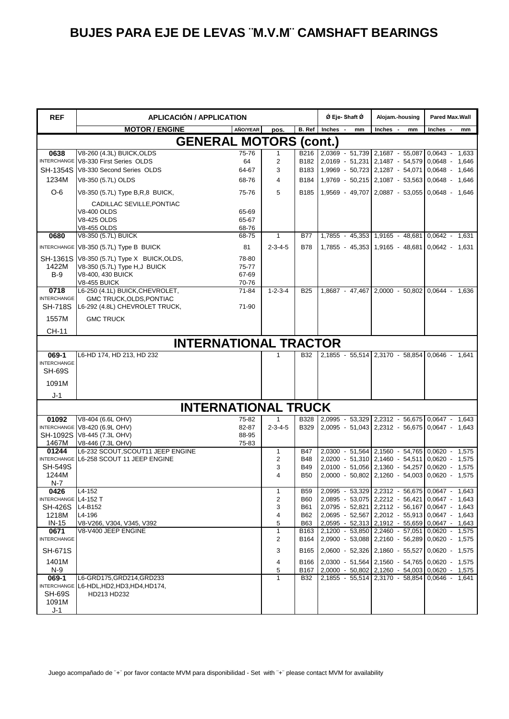| <b>REF</b>                                                                                       | <b>APLICACIÓN / APPLICATION</b>                                                                                                                                                                    |  |                                 |                                                                           | Ø Eje-Shaft Ø                   | Alojam.-housing                                                                                                                                                                                                                                                                                                                             | Pared Max.Wall                                           |  |  |  |
|--------------------------------------------------------------------------------------------------|----------------------------------------------------------------------------------------------------------------------------------------------------------------------------------------------------|--|---------------------------------|---------------------------------------------------------------------------|---------------------------------|---------------------------------------------------------------------------------------------------------------------------------------------------------------------------------------------------------------------------------------------------------------------------------------------------------------------------------------------|----------------------------------------------------------|--|--|--|
|                                                                                                  | <b>MOTOR / ENGINE</b><br>AÑO/YEAR                                                                                                                                                                  |  | pos.                            |                                                                           | B. Ref Inches -<br>mm           | Inches -<br>mm                                                                                                                                                                                                                                                                                                                              | Inches -<br>mm                                           |  |  |  |
|                                                                                                  | <b>GENERAL MOTORS (cont.)</b>                                                                                                                                                                      |  |                                 |                                                                           |                                 |                                                                                                                                                                                                                                                                                                                                             |                                                          |  |  |  |
| 0638<br><b>SH-1354S</b><br>1234M                                                                 | V8-260 (4.3L) BUICK, OLDS<br>75-76<br>INTERCHANGE V8-330 First Series OLDS<br>64<br>V8-330 Second Series OLDS<br>64-67<br>V8-350 (5.7L) OLDS<br>68-76                                              |  | 1<br>2<br>3<br>4                | B216<br>B182<br>B <sub>183</sub><br>B184                                  | 2,0369 - 51,739 2,1687 - 55,087 | 2,0169 - 51,231 2,1487 - 54,579 0,0648 - 1,646<br>1,9969 - 50,723 2,1287 - 54,071<br>1,9769 - 50,215 2,1087 - 53,563 0,0648 - 1,646                                                                                                                                                                                                         | $0.0643 - 1.633$<br>0,0648 - 1,646                       |  |  |  |
| $O-6$                                                                                            | V8-350 (5.7L) Type B, R, 8 BUICK,<br>75-76                                                                                                                                                         |  | 5                               | B185                                                                      |                                 | 1,9569 - 49,707 2,0887 - 53,055 0,0648 - 1,646                                                                                                                                                                                                                                                                                              |                                                          |  |  |  |
|                                                                                                  | CADILLAC SEVILLE, PONTIAC<br><b>V8-400 OLDS</b><br>65-69<br><b>V8-425 OLDS</b><br>65-67<br><b>V8-455 OLDS</b><br>68-76                                                                             |  |                                 |                                                                           |                                 |                                                                                                                                                                                                                                                                                                                                             |                                                          |  |  |  |
| 0680                                                                                             | V8-350 (5.7L) BUICK<br>68-75                                                                                                                                                                       |  | $\mathbf{1}$                    | <b>B77</b>                                                                |                                 | 1,7855 - 45,353 1,9165 - 48,681 0,0642 - 1,631                                                                                                                                                                                                                                                                                              |                                                          |  |  |  |
| SH-1361S<br>1422M<br>$B-9$                                                                       | INTERCHANGE V8-350 (5.7L) Type B BUICK<br>81<br>V8-350 (5.7L) Type X BUICK, OLDS,<br>78-80<br>V8-350 (5.7L) Type H, J BUICK<br>75-77<br>V8-400, 430 BUICK<br>67-69<br><b>V8-455 BUICK</b><br>70-76 |  | $2 - 3 - 4 - 5$                 | <b>B78</b>                                                                |                                 | 1,7855 - 45,353 1,9165 - 48,681 0,0642 - 1,631                                                                                                                                                                                                                                                                                              |                                                          |  |  |  |
| 0718<br><b>INTERCHANGE</b><br><b>SH-718S</b><br>1557M                                            | L6-250 (4.1L) BUICK, CHEVROLET,<br>71-84<br>GMC TRUCK, OLDS, PONTIAC<br>L6-292 (4.8L) CHEVROLET TRUCK,<br>71-90<br><b>GMC TRUCK</b>                                                                |  | $1 - 2 - 3 - 4$                 | <b>B25</b>                                                                |                                 | 1,8687 - 47,467 2,0000 - 50,802 0,0644 - 1,636                                                                                                                                                                                                                                                                                              |                                                          |  |  |  |
| CH-11                                                                                            |                                                                                                                                                                                                    |  |                                 |                                                                           |                                 |                                                                                                                                                                                                                                                                                                                                             |                                                          |  |  |  |
|                                                                                                  | <b>INTERNATIONAL TRACTOR</b>                                                                                                                                                                       |  |                                 |                                                                           |                                 |                                                                                                                                                                                                                                                                                                                                             |                                                          |  |  |  |
| 069-1<br><b>INTERCHANGE</b><br><b>SH-69S</b><br>1091M                                            | L6-HD 174, HD 213, HD 232                                                                                                                                                                          |  |                                 | <b>B32</b>                                                                |                                 | 2,1855 - 55,514 2,3170 - 58,854 0,0646 - 1,641                                                                                                                                                                                                                                                                                              |                                                          |  |  |  |
| J-1                                                                                              | <b>INTERNATIONAL TRUCK</b>                                                                                                                                                                         |  |                                 |                                                                           |                                 |                                                                                                                                                                                                                                                                                                                                             |                                                          |  |  |  |
| 01092                                                                                            | V8-404 (6.6L OHV)<br>75-82                                                                                                                                                                         |  |                                 | B328                                                                      |                                 | 2,0995 - 53,329 2,2312 - 56,675 0,0647 - 1,643                                                                                                                                                                                                                                                                                              |                                                          |  |  |  |
| SH-1092S<br>1467M                                                                                | INTERCHANGE V8-420 (6.9L OHV)<br>82-87<br>V8-445 (7.3L OHV)<br>88-95<br>V8-446 (7.3L OHV)<br>75-83                                                                                                 |  | $2 - 3 - 4 - 5$                 | <b>B329</b>                                                               |                                 | 2,0095 - 51,043 2,2312 - 56,675 0,0647 - 1,643                                                                                                                                                                                                                                                                                              |                                                          |  |  |  |
| 01244<br><b>SH-549S</b><br>1244M<br>N-7                                                          | L6-232 SCOUT, SCOUT11 JEEP ENGINE<br>INTERCHANGE L6-258 SCOUT 11 JEEP ENGINE                                                                                                                       |  | $\mathbf{1}$<br>2<br>3<br>4     | <b>B47</b><br><b>B48</b><br><b>B49</b><br><b>B50</b>                      | 2,0200 - 51,310 2,1460 - 54,511 | 2,0300 - 51,564 2,1560 - 54,765<br>2,0100 - 51,056 2,1360 - 54,257<br>2,0000 - 50,802 2,1260 - 54,003 0,0620 - 1,575                                                                                                                                                                                                                        | $0.0620 - 1.575$<br>$0.0620 - 1.575$<br>$0.0620 - 1.575$ |  |  |  |
| 0426<br>INTERCHANGE L4-152 T<br><b>SH-426S</b><br>1218M<br>$IN-15$<br>0671<br><b>INTERCHANGE</b> | L4-152<br>L4-B152<br>L4-196<br>V8-V266, V304, V345, V392<br>V8-V400 JEEP ENGINE                                                                                                                    |  | 1<br>2<br>3<br>4<br>5<br>1<br>2 | B59<br><b>B60</b><br>B61<br>B62<br><b>B63</b><br>B <sub>163</sub><br>B164 |                                 | 2,0995 - 53,329 2,2312 - 56,675 0,0647 - 1,643<br>2,0895 - 53,075 2,2212 - 56,421 0,0647 - 1,643<br>2,0795 - 52,821 2,2112 - 56,167 0,0647 - 1,643<br>2,0695 - 52,567 2,2012 - 55,913 0,0647 - 1,643<br>2,0595 - 52,313 2,1912 - 55,659 0,0647 - 1,643<br>2,1200 - 53,850 2,2460 - 57,051<br>2,0900 - 53,088 2,2160 - 56,289 0,0620 - 1,575 | $0.0620 - 1.575$                                         |  |  |  |
| <b>SH-671S</b><br>1401M<br>$N-9$<br>069-1<br><b>SH-69S</b>                                       | L6-GRD175,GRD214,GRD233<br>INTERCHANGE L6-HDL, HD2, HD3, HD4, HD174,<br>HD213 HD232                                                                                                                |  | 3<br>4<br>5<br>1                | B165<br>B166<br>B167<br><b>B32</b>                                        |                                 | 2,0600 - 52,326 2,1860 - 55,527 0,0620 - 1,575<br>2,0300 - 51,564 2,1560 - 54,765 0,0620 - 1,575<br>2,0000 - 50,802 2,1260 - 54,003 0,0620 - 1,575<br>2,1855 - 55,514 2,3170 - 58,854 0,0646 - 1,641                                                                                                                                        |                                                          |  |  |  |
| 1091M<br>$J-1$                                                                                   |                                                                                                                                                                                                    |  |                                 |                                                                           |                                 |                                                                                                                                                                                                                                                                                                                                             |                                                          |  |  |  |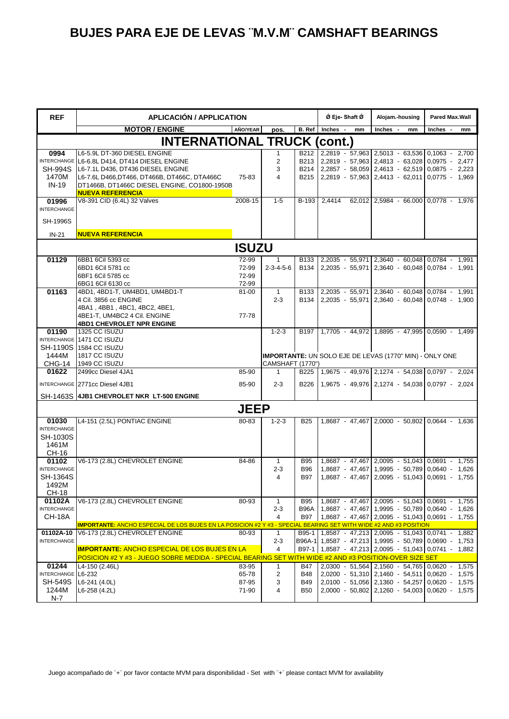| <b>REF</b>                                                              | <b>APLICACIÓN / APPLICATION</b>                                                                                                                                                                                                               |                                  |                                         |                                 | Ø Eje-Shaft Ø                                              | Alojam.-housing                                                                                                                                        | Pared Max.Wall   |
|-------------------------------------------------------------------------|-----------------------------------------------------------------------------------------------------------------------------------------------------------------------------------------------------------------------------------------------|----------------------------------|-----------------------------------------|---------------------------------|------------------------------------------------------------|--------------------------------------------------------------------------------------------------------------------------------------------------------|------------------|
|                                                                         | <b>MOTOR / ENGINE</b>                                                                                                                                                                                                                         | AÑO/YEAR                         | pos.                                    | B. Ref                          | Inches -<br>mm                                             | Inches -<br>mm                                                                                                                                         | Inches -<br>mm   |
|                                                                         | <b>INTERNATIONAL TRUCK (cont.)</b>                                                                                                                                                                                                            |                                  |                                         |                                 |                                                            |                                                                                                                                                        |                  |
| 0994<br><b>SH-994S</b><br>1470M<br>$IN-19$                              | L6-5.9L DT-360 DIESEL ENGINE<br>INTERCHANGE L6-6.8L D414, DT414 DIESEL ENGINE<br>L6-7.1L D436, DT436 DIESEL ENGINE<br>L6-7.6L D466, DT466, DT466B, DT466C, DTA466C<br>DT1466B, DT1466C DIESEL ENGINE, CO1800-1950B<br><b>NUEVA REFERENCIA</b> | 75-83                            | 1<br>$\overline{2}$<br>3<br>4           | B212<br>B213<br>B214<br>B215    | 2,2857 - 58,059 2,4613 - 62,519 0,0875 - 2,223             | 2,2819 - 57,963 2,5013 - 63,536 0,1063 - 2,700<br>2,2819 - 57,963 2,4813 - 63,028 0,0975 - 2,477<br>2,2819 - 57,963 2,4413 - 62,011 0,0775 - 1,969     |                  |
| 01996<br><b>INTERCHANGE</b>                                             | V8-391 CID (6.4L) 32 Valves                                                                                                                                                                                                                   | 2008-15                          | $1 - 5$                                 | B-193                           | 2.4414                                                     | 62,012 2,5984 - 66.000 0,0778 - 1,976                                                                                                                  |                  |
| <b>SH-1996S</b>                                                         |                                                                                                                                                                                                                                               |                                  |                                         |                                 |                                                            |                                                                                                                                                        |                  |
| $IN-21$                                                                 | <b>NUEVA REFERENCIA</b>                                                                                                                                                                                                                       |                                  |                                         |                                 |                                                            |                                                                                                                                                        |                  |
|                                                                         |                                                                                                                                                                                                                                               | <b>ISUZU</b>                     |                                         |                                 |                                                            |                                                                                                                                                        |                  |
| 01129                                                                   | 6BB1 6Cil 5393 cc<br>6BD1 6Cil 5781 cc<br>6BF1 6Cil 5785 cc<br>6BG1 6Cil 6130 cc                                                                                                                                                              | 72-99<br>72-99<br>72-99<br>72-99 | 1<br>$2 - 3 - 4 - 5 - 6$                | B <sub>133</sub><br>B134        |                                                            | 2,2035 - 55,971 2,3640 - 60,048 0,0784 - 1,991<br>2,2035 - 55,971 2,3640 - 60,048 0,0784 - 1,991                                                       |                  |
| 01163                                                                   | 4BD1, 4BD1-T, UM4BD1, UM4BD1-T<br>4 Cil. 3856 cc ENGINE<br>4BA1, 4BB1, 4BC1, 4BC2, 4BE1,<br>4BE1-T, UM4BC2 4 Cil. ENGINE<br><b>4BD1 CHEVROLET NPR ENGINE</b>                                                                                  | 81-00<br>77-78                   | -1<br>$2 - 3$                           | B134                            | B133 2.2035 - 55.971 2.3640 - 60.048 0.0784 - 1.991        | 2,2035 - 55,971   2,3640 - 60,048   0,0748 - 1,900                                                                                                     |                  |
| 01190                                                                   | 1325 CC ISUZU                                                                                                                                                                                                                                 |                                  | $1 - 2 - 3$                             |                                 | B197   1,7705 - 44,972   1,8895 - 47,995   0,0590 - 1,499  |                                                                                                                                                        |                  |
| 1444M                                                                   | INTERCHANGE 1471 CC ISUZU<br>SH-1190S 1584 CC ISUZU<br>1817 CC ISUZU<br>CHG-14 1949 CC ISUZU                                                                                                                                                  |                                  |                                         |                                 | IMPORTANTE: UN SOLO EJE DE LEVAS (1770" MIN) - ONLY ONE    |                                                                                                                                                        |                  |
| 01622                                                                   | 2499cc Diesel 4JA1                                                                                                                                                                                                                            | 85-90                            | <b>CAMSHAFT (1770")</b><br>$\mathbf{1}$ | B225                            | 1,9675 - 49,976 2,1274 - 54,038 0,0797 - 2,024             |                                                                                                                                                        |                  |
|                                                                         | INTERCHANGE 2771cc Diesel 4JB1                                                                                                                                                                                                                | 85-90                            | $2 - 3$                                 | <b>B226</b>                     |                                                            | 1,9675 - 49,976 2,1274 - 54,038 0,0797 - 2,024                                                                                                         |                  |
|                                                                         | SH-1463S 4JB1 CHEVROLET NKR LT-500 ENGINE                                                                                                                                                                                                     |                                  |                                         |                                 |                                                            |                                                                                                                                                        |                  |
|                                                                         |                                                                                                                                                                                                                                               | <b>JEEP</b>                      |                                         |                                 |                                                            |                                                                                                                                                        |                  |
| 01030<br><b>INTERCHANGE</b><br>SH-1030S<br>1461M<br>CH-16               | L4-151 (2.5L) PONTIAC ENGINE                                                                                                                                                                                                                  | 80-83                            | $1 - 2 - 3$                             | <b>B25</b>                      |                                                            | 1,8687 - 47,467 2,0000 - 50,802 0,0644 - 1,636                                                                                                         |                  |
| 01102<br><b>INTERCHANGE</b><br><b>SH-1364S</b><br>1492M<br><b>CH-18</b> | V6-173 (2.8L) CHEVROLET ENGINE                                                                                                                                                                                                                | 84-86                            | $\mathbf{1}$<br>$2 - 3$<br>4            | <b>B95</b><br><b>B96</b><br>B97 |                                                            | 1,8687 - 47,467 2,0095 - 51,043 0,0691 - 1,755<br>1,8687 - 47,467   1,9995 - 50,789   0,0640 - 1,626<br>1,8687 - 47,467 2,0095 - 51,043 0,0691 - 1,755 |                  |
| 01102A<br><b>INTERCHANGE</b>                                            | V6-173 (2.8L) CHEVROLET ENGINE                                                                                                                                                                                                                | 80-93                            | 1<br>$2 - 3$                            | <b>B95</b><br><b>B96A</b>       |                                                            | 1,8687 - 47,467 2,0095 - 51,043 0,0691 - 1,755<br>1,8687 - 47,467 1,9995 - 50,789 0,0640 - 1,626                                                       |                  |
| <b>CH-18A</b>                                                           |                                                                                                                                                                                                                                               |                                  | 4                                       | B97                             |                                                            | 1,8687 - 47,467 2,0095 - 51,043 0,0691 - 1,755                                                                                                         |                  |
| 01102A-10                                                               | IMPORTANTE: ANCHO ESPECIAL DE LOS BUJES EN LA POSICION #2 Y #3 - SPECIAL BEARING SET WITH WIDE #2 AND #3 POSITION<br>V6-173 (2.8L) CHEVROLET ENGINE                                                                                           | 80-93                            | 1                                       |                                 | B95-1   1,8587 - 47,213   2,0095 - 51,043   0,0741 - 1,882 |                                                                                                                                                        |                  |
| <b>INTERCHANGE</b>                                                      |                                                                                                                                                                                                                                               |                                  | $2 - 3$                                 |                                 | B96A-1 1,8587 - 47,213 1,9995 - 50,789 0,0690 - 1,753      |                                                                                                                                                        |                  |
|                                                                         | <b>IMPORTANTE: ANCHO ESPECIAL DE LOS BUJES EN LA</b><br>POSICION #2 Y #3 - JUEGO SOBRE MEDIDA - SPECIAL BEARING SET WITH WIDE #2 AND #3 POSITION-OVER SIZE SET                                                                                |                                  | 4                                       |                                 | B97-1 1,8587 - 47,213 2,0095 - 51,043 0,0741 - 1,882       |                                                                                                                                                        |                  |
| 01244                                                                   | L4-150 (2.46L)                                                                                                                                                                                                                                | 83-95                            | $\mathbf{1}$                            | <b>B47</b>                      |                                                            | 2,0300 - 51,564 2,1560 - 54,765 0,0620 - 1,575                                                                                                         |                  |
| INTERCHANGE L6-232                                                      |                                                                                                                                                                                                                                               | 65-78                            | 2                                       | <b>B48</b>                      | 2,0200 - 51,310 2,1460 - 54,511                            |                                                                                                                                                        | $0,0620 - 1,575$ |
| <b>SH-549S</b><br>1244M                                                 | $L6-241$ (4.0L)<br>L6-258 (4.2L)                                                                                                                                                                                                              | 87-95<br>71-90                   | 3<br>4                                  | <b>B49</b><br><b>B50</b>        |                                                            | 2,0100 - 51,056 2,1360 - 54,257 0,0620 - 1,575<br>2,0000 - 50,802 2,1260 - 54,003 0,0620 - 1,575                                                       |                  |
| $N-7$                                                                   |                                                                                                                                                                                                                                               |                                  |                                         |                                 |                                                            |                                                                                                                                                        |                  |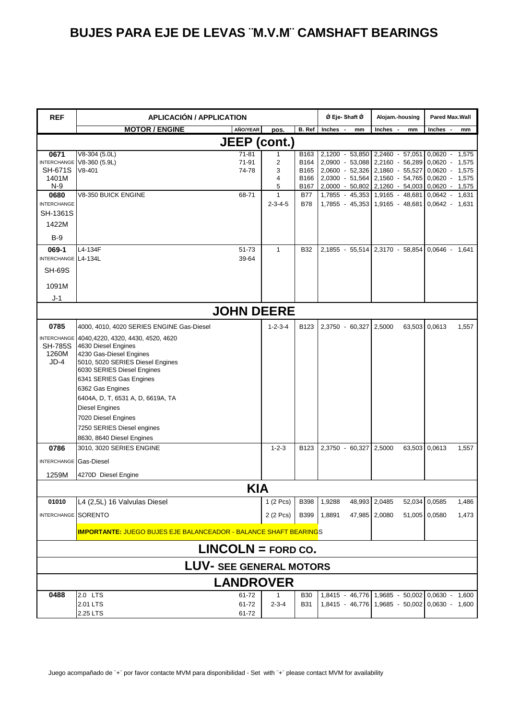| <b>REF</b>                                                      | <b>APLICACIÓN / APPLICATION</b>                                                                                                                                                                                                                                                                                                                                  |                                 |                                      | Ø Eje-Shaft Ø   | Alojam.-housing                                                                                                                                                            | Pared Max.Wall                                                               |  |  |  |  |
|-----------------------------------------------------------------|------------------------------------------------------------------------------------------------------------------------------------------------------------------------------------------------------------------------------------------------------------------------------------------------------------------------------------------------------------------|---------------------------------|--------------------------------------|-----------------|----------------------------------------------------------------------------------------------------------------------------------------------------------------------------|------------------------------------------------------------------------------|--|--|--|--|
|                                                                 | <b>MOTOR / ENGINE</b><br>AÑO/YEAR                                                                                                                                                                                                                                                                                                                                | pos.                            | B. Ref                               | Inches -<br>mm  | Inches -<br>mm                                                                                                                                                             | Inches -<br>mm                                                               |  |  |  |  |
| <b>JEEP</b> (cont.)                                             |                                                                                                                                                                                                                                                                                                                                                                  |                                 |                                      |                 |                                                                                                                                                                            |                                                                              |  |  |  |  |
| 0671<br><b>SH-671S</b><br>1401M<br>$N-9$                        | V8-304 (5.0L)<br>71-81<br>INTERCHANGE V8-360 (5.9L)<br>71-91<br>$V8-401$<br>74-78                                                                                                                                                                                                                                                                                | 2<br>3<br>4<br>5                | B163<br>B164<br>B165<br>B166<br>B167 | 2,1200 - 53,850 | 2,2460 - 57,051<br>2,0900 - 53,088 2,2160 - 56,289<br>2,0600 - 52,326 2,1860 - 55,527<br>2,0300 - 51,564 2,1560 - 54,765 0,0620 - 1,575<br>2,0000 - 50,802 2,1260 - 54,003 | $0,0620 - 1,575$<br>$0,0620 - 1,575$<br>$0,0620 - 1,575$<br>$0,0620 - 1,575$ |  |  |  |  |
| 0680<br><b>INTERCHANGE</b><br>SH-1361S<br>1422M<br>$B-9$        | 68-71<br>V8-350 BUICK ENGINE                                                                                                                                                                                                                                                                                                                                     | $\mathbf{1}$<br>$2 - 3 - 4 - 5$ | <b>B77</b><br><b>B78</b>             |                 | 1,7855 - 45,353 1,9165 - 48,681<br>1,7855 - 45,353 1,9165 - 48,681                                                                                                         | $0,0642 -$<br>1,631<br>$0.0642 - 1.631$                                      |  |  |  |  |
| 069-1<br>INTERCHANGE L4-134L<br><b>SH-69S</b><br>1091M<br>$J-1$ | 51-73<br>L4-134F<br>39-64                                                                                                                                                                                                                                                                                                                                        | $\mathbf{1}$                    | <b>B32</b>                           |                 | 2,1855 - 55,514 2,3170 - 58,854 0,0646 -                                                                                                                                   | 1,641                                                                        |  |  |  |  |
|                                                                 | <b>JOHN DEERE</b>                                                                                                                                                                                                                                                                                                                                                |                                 |                                      |                 |                                                                                                                                                                            |                                                                              |  |  |  |  |
| 0785                                                            | 4000, 4010, 4020 SERIES ENGINE Gas-Diesel                                                                                                                                                                                                                                                                                                                        | $1 - 2 - 3 - 4$                 | B123                                 | 2,3750 - 60,327 | 2,5000<br>63,503                                                                                                                                                           | 0,0613<br>1,557                                                              |  |  |  |  |
| <b>SH-785S</b><br>1260M<br>$JD-4$                               | INTERCHANGE 4040,4220, 4320, 4430, 4520, 4620<br>4630 Diesel Engines<br>4230 Gas-Diesel Engines<br>5010, 5020 SERIES Diesel Engines<br>6030 SERIES Diesel Engines<br>6341 SERIES Gas Engines<br>6362 Gas Engines<br>6404A, D, T, 6531 A, D, 6619A, TA<br><b>Diesel Engines</b><br>7020 Diesel Engines<br>7250 SERIES Diesel engines<br>8630, 8640 Diesel Engines |                                 |                                      |                 |                                                                                                                                                                            |                                                                              |  |  |  |  |
| 0786                                                            | 3010, 3020 SERIES ENGINE                                                                                                                                                                                                                                                                                                                                         | $1 - 2 - 3$                     | B123                                 | 2,3750 - 60,327 | 2,5000                                                                                                                                                                     | 63,503 0,0613<br>1,557                                                       |  |  |  |  |
| <b>INTERCHANGE</b> Gas-Diesel                                   |                                                                                                                                                                                                                                                                                                                                                                  |                                 |                                      |                 |                                                                                                                                                                            |                                                                              |  |  |  |  |
| 1259M                                                           | 4270D Diesel Engine                                                                                                                                                                                                                                                                                                                                              |                                 |                                      |                 |                                                                                                                                                                            |                                                                              |  |  |  |  |
|                                                                 |                                                                                                                                                                                                                                                                                                                                                                  | <b>KIA</b>                      |                                      |                 |                                                                                                                                                                            |                                                                              |  |  |  |  |
| 01010                                                           | L4 (2,5L) 16 Valvulas Diesel                                                                                                                                                                                                                                                                                                                                     | $1(2$ Pcs)                      | <b>B398</b>                          | 1,9288          | 48,993 2,0485                                                                                                                                                              | 52,034 0,0585<br>1,486                                                       |  |  |  |  |
| INTERCHANGE SORENTO                                             |                                                                                                                                                                                                                                                                                                                                                                  | 2 (2 Pcs)                       | <b>B399</b>                          | 1,8891          | 47,985 2,0080                                                                                                                                                              | 51,005 0,0580<br>1,473                                                       |  |  |  |  |
|                                                                 | <b>IMPORTANTE: JUEGO BUJES EJE BALANCEADOR - BALANCE SHAFT BEARINGS</b>                                                                                                                                                                                                                                                                                          |                                 |                                      |                 |                                                                                                                                                                            |                                                                              |  |  |  |  |
|                                                                 | $LINCOLN = FORD CO.$                                                                                                                                                                                                                                                                                                                                             |                                 |                                      |                 |                                                                                                                                                                            |                                                                              |  |  |  |  |
|                                                                 | <b>LUV- SEE GENERAL MOTORS</b>                                                                                                                                                                                                                                                                                                                                   |                                 |                                      |                 |                                                                                                                                                                            |                                                                              |  |  |  |  |
|                                                                 | <b>LANDROVER</b>                                                                                                                                                                                                                                                                                                                                                 |                                 |                                      |                 |                                                                                                                                                                            |                                                                              |  |  |  |  |
| 0488                                                            | 2.0 LTS<br>61-72<br>2.01 LTS<br>61-72<br>2.25 LTS<br>61-72                                                                                                                                                                                                                                                                                                       | 1<br>$2 - 3 - 4$                | <b>B30</b><br><b>B31</b>             |                 | 1,8415 - 46,776 1,9685 - 50,002 0,0630 - 1,600<br>1,8415 - 46,776 1,9685 - 50,002 0,0630 - 1,600                                                                           |                                                                              |  |  |  |  |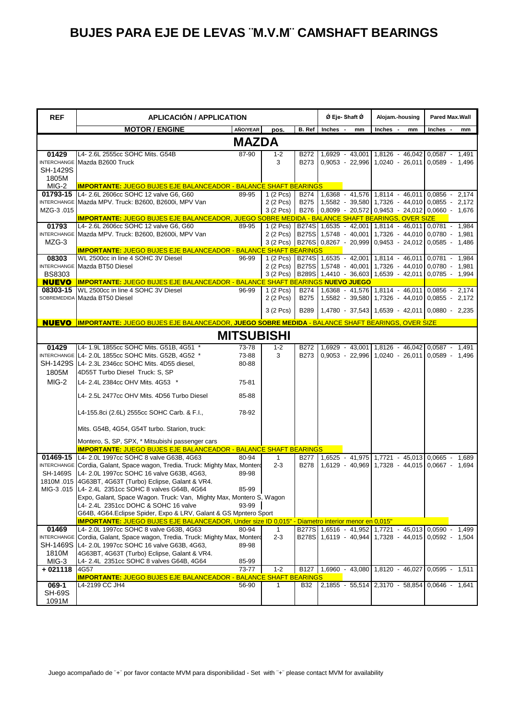| <b>REF</b>         | <b>APLICACIÓN / APPLICATION</b>                                                                                            |              |                         | Ø Eje-Shaft Ø | Alojam.-housing                                                                                                                  | Pared Max.Wall                                   |                  |
|--------------------|----------------------------------------------------------------------------------------------------------------------------|--------------|-------------------------|---------------|----------------------------------------------------------------------------------------------------------------------------------|--------------------------------------------------|------------------|
|                    | <b>MOTOR / ENGINE</b>                                                                                                      | AÑO/YEAR     | pos.                    | B. Ref        | <b>Inches</b><br>$\overline{\phantom{a}}$<br>mm                                                                                  | Inches -<br>mm                                   | Inches -<br>mm   |
|                    |                                                                                                                            | <b>MAZDA</b> |                         |               |                                                                                                                                  |                                                  |                  |
| 01429              | L4- 2.6L 2555cc SOHC Mits. G54B                                                                                            | 87-90        | $1 - 2$                 | B272          |                                                                                                                                  | 1.6929 - 43.001 1.8126 - 46.042 0.0587 - 1.491   |                  |
|                    | <b>INTERCHANGE Mazda B2600 Truck</b>                                                                                       |              | 3                       | <b>B273</b>   |                                                                                                                                  | $0,9053 - 22,996$ 1,0240 - 26,011 0,0589 - 1,496 |                  |
| SH-1429S           |                                                                                                                            |              |                         |               |                                                                                                                                  |                                                  |                  |
| 1805M              |                                                                                                                            |              |                         |               |                                                                                                                                  |                                                  |                  |
| MIG-2              | <b>IMPORTANTE: JUEGO BUJES EJE BALANCEADOR - BALANCE SHAFT BEARINGS</b>                                                    |              |                         |               |                                                                                                                                  |                                                  |                  |
| 01793-15           | L4- 2.6L 2606cc SOHC 12 valve G6, G60                                                                                      | 89-95        | 1 (2 Pcs)<br>$2(2$ Pcs) |               | B274 1,6368 - 41,576 1,8114 - 46,011 0,0856 - 2,174                                                                              | 1,5582 - 39,580 1,7326 - 44,010 0,0855 - 2,172   |                  |
| MZG-3.015          | INTERCHANGE Mazda MPV. Truck: B2600, B2600i, MPV Van                                                                       |              | $3(2$ Pcs)              | <b>B275</b>   | B276 0,8099 - 20,572 0,9453 - 24,012 0,0660 - 1,676                                                                              |                                                  |                  |
|                    | <b>IMPORTANTE: JUEGO BUJES EJE BALANCEADOR, JUEGO SOBRE MEDIDA - BALANCE SHAFT BEARINGS, OVER SIZE</b>                     |              |                         |               |                                                                                                                                  |                                                  |                  |
| 01793              | L4- 2.6L 2606cc SOHC 12 valve G6, G60                                                                                      | 89-95        | $1(2$ Pcs)              |               | B274S 1,6535 - 42,001 1,8114 - 46,011 0,0781 - 1,984                                                                             |                                                  |                  |
|                    | INTERCHANGE Mazda MPV. Truck: B2600, B2600i, MPV Van                                                                       |              |                         |               | 2 (2 Pcs) B275S 1,5748 - 40,001 1,7326 - 44,010 0,0780 - 1,981                                                                   |                                                  |                  |
| MZG-3              |                                                                                                                            |              |                         |               | 3 (2 Pcs) B276S 0,8267 - 20,999 0,9453 - 24,012 0,0585 - 1,486                                                                   |                                                  |                  |
|                    | <b>IMPORTANTE: JUEGO BUJES EJE BALANCEADOR - BALANCE SHAFT BEARINGS</b>                                                    |              |                         |               |                                                                                                                                  |                                                  |                  |
| 08303              | WL 2500cc in line 4 SOHC 3V Diesel                                                                                         | 96-99        |                         |               | 1 (2 Pcs) B274S 1,6535 - 42,001 1,8114 - 46,011                                                                                  |                                                  | 0,0781 - 1,984   |
| <b>BS8303</b>      | INTERCHANGE Mazda BT50 Diesel                                                                                              |              |                         |               | 2 (2 Pcs) B275S 1,5748 - 40,001 1,7326 - 44,010 0,0780 - 1,981<br>3 (2 Pcs) B289S 1,4410 - 36,603 1,6539 - 42,011 0,0785 - 1,994 |                                                  |                  |
| <b>NUEVO</b>       | IMPORTANTE: JUEGO BUJES EJE BALANCEADOR - BALANCE SHAFT BEARINGS NUEVO JUEGO                                               |              |                         |               |                                                                                                                                  |                                                  |                  |
| 08303-15           | WL 2500cc in line 4 SOHC 3V Diesel                                                                                         | 96-99        | $1(2$ Pcs)              |               | B274 1,6368 - 41,576 1,8114 - 46,011 0,0856 -                                                                                    |                                                  | 2,174            |
|                    | SOBREMEDIDA Mazda BT50 Diesel                                                                                              |              | 2 (2 Pcs)               | <b>B275</b>   |                                                                                                                                  | 1,5582 - 39,580 1,7326 - 44,010 0,0855 - 2,172   |                  |
|                    |                                                                                                                            |              | 3 (2 Pcs)               |               |                                                                                                                                  |                                                  |                  |
|                    |                                                                                                                            |              |                         | <b>B289</b>   |                                                                                                                                  | 1,4780 - 37,543 1,6539 - 42,011 0,0880 - 2,235   |                  |
|                    | NUEVO IMPORTANTE: JUEGO BUJES EJE BALANCEADOR, JUEGO SOBRE MEDIDA - BALANCE SHAFT BEARINGS, OVER SIZE                      |              |                         |               |                                                                                                                                  |                                                  |                  |
|                    |                                                                                                                            |              | <b>MITSUBISHI</b>       |               |                                                                                                                                  |                                                  |                  |
| 01429              | L4- 1.9L 1855cc SOHC Mits. G51B, 4G51 *                                                                                    | 73-78        | $1 - 2$                 | B272          |                                                                                                                                  | 1,6929 - 43,001 1,8126 - 46,042 0,0587 - 1,491   |                  |
|                    | INTERCHANGE L4- 2.0L 1855cc SOHC Mits. G52B. 4G52 *                                                                        | 73-88        | 3                       | <b>B273</b>   |                                                                                                                                  | $0,9053 - 22,996$ 1,0240 - 26,011                | $0.0589 - 1.496$ |
|                    | SH-1429S IL4-2.3L 2346cc SOHC Mits. 4D55 diesel,                                                                           | 80-88        |                         |               |                                                                                                                                  |                                                  |                  |
| 1805M              | 4D55T Turbo Diesel Truck: S, SP                                                                                            |              |                         |               |                                                                                                                                  |                                                  |                  |
| MIG-2              | L4- 2.4L 2384cc OHV Mits. 4G53 *                                                                                           | 75-81        |                         |               |                                                                                                                                  |                                                  |                  |
|                    | L4- 2.5L 2477cc OHV Mits. 4D56 Turbo Diesel                                                                                | 85-88        |                         |               |                                                                                                                                  |                                                  |                  |
|                    |                                                                                                                            |              |                         |               |                                                                                                                                  |                                                  |                  |
|                    | L4-155.8ci (2.6L) 2555cc SOHC Carb. & F.I.,                                                                                | 78-92        |                         |               |                                                                                                                                  |                                                  |                  |
|                    | Mits. G54B, 4G54, G54T turbo. Starion, truck:                                                                              |              |                         |               |                                                                                                                                  |                                                  |                  |
|                    | Montero, S, SP, SPX, * Mitsubishi passenger cars                                                                           |              |                         |               |                                                                                                                                  |                                                  |                  |
|                    | <b>IMPORTANTE: JUEGO BUJES EJE BALANCEADOR - BALANCE SHAFT BEARINGS</b>                                                    |              |                         |               |                                                                                                                                  |                                                  |                  |
|                    | 01469-15 L4-2.0L 1997cc SOHC 8 valve G63B, 4G63                                                                            | 80-94        | $\mathbf{1}$            | <b>B277</b>   |                                                                                                                                  | 1,6525 - 41,975 1,7721 - 45,013 0,0665 - 1,689   |                  |
|                    | INTERCHANGE Cordia, Galant, Space wagon, Tredia. Truck: Mighty Max, Monterd                                                |              | $2 - 3$                 | <b>B278</b>   |                                                                                                                                  | 1,6129 - 40,969 1,7328 - 44,015 0,0667 - 1,694   |                  |
|                    | SH-1469S L4-2.0L 1997cc SOHC 16 valve G63B, 4G63,                                                                          | 89-98        |                         |               |                                                                                                                                  |                                                  |                  |
|                    | 1810M .015 4G63BT, 4G63T (Turbo) Eclipse, Galant & VR4.                                                                    |              |                         |               |                                                                                                                                  |                                                  |                  |
|                    | MIG-3 .015 L4- 2.4L 2351cc SOHC 8 valves G64B, 4G64<br>Expo, Galant, Space Wagon. Truck: Van, Mighty Max, Montero S, Wagon | 85-99        |                         |               |                                                                                                                                  |                                                  |                  |
|                    | L4- 2.4L 2351cc DOHC & SOHC 16 valve                                                                                       | 93-99        |                         |               |                                                                                                                                  |                                                  |                  |
|                    | G64B, 4G64. Eclipse Spider, Expo & LRV, Galant & GS Mpntero Sport                                                          |              |                         |               |                                                                                                                                  |                                                  |                  |
|                    | IMPORTANTE: JUEGO BUJES EJE BALANCEADOR, Under size ID 0,015" - Diametro interior menor en 0,015"                          |              |                         |               |                                                                                                                                  |                                                  |                  |
| 01469              | L4- 2.0L 1997cc SOHC 8 valve G63B, 4G63                                                                                    | 80-94        | $\mathbf{1}$            |               | B277S 1,6516 - 41,952 1,7721 - 45,013 0,0590 - 1,499                                                                             |                                                  |                  |
| <b>INTERCHANGE</b> | Cordia, Galant, Space wagon, Tredia. Truck: Mighty Max, Monterd                                                            |              | $2 - 3$                 |               | B278S 1,6119 - 40,944 1,7328 - 44,015 0,0592 - 1,504                                                                             |                                                  |                  |
| SH-1469S           | L4- 2.0L 1997cc SOHC 16 valve G63B, 4G63,                                                                                  | 89-98        |                         |               |                                                                                                                                  |                                                  |                  |
| 1810M              | 4G63BT, 4G63T (Turbo) Eclipse, Galant & VR4.                                                                               |              |                         |               |                                                                                                                                  |                                                  |                  |
| MIG-3              | L4- 2.4L 2351cc SOHC 8 valves G64B, 4G64                                                                                   | 85-99        |                         |               |                                                                                                                                  |                                                  |                  |
| $+021118$          | 4G57                                                                                                                       | 73-77        | $1 - 2$                 |               | B127 1,6960 - 43,080 1,8120 - 46,027 0,0595 - 1,511                                                                              |                                                  |                  |
| 069-1              | <b>IMPORTANTE: JUEGO BUJES EJE BALANCEADOR - BALANCE SHAFT BEARINGS</b><br>L4-2199 CC JH4                                  | 56-90        | 1                       | <b>B32</b>    |                                                                                                                                  | 2,1855 - 55,514 2,3170 - 58,854 0,0646 - 1,641   |                  |
| <b>SH-69S</b>      |                                                                                                                            |              |                         |               |                                                                                                                                  |                                                  |                  |
| 1091M              |                                                                                                                            |              |                         |               |                                                                                                                                  |                                                  |                  |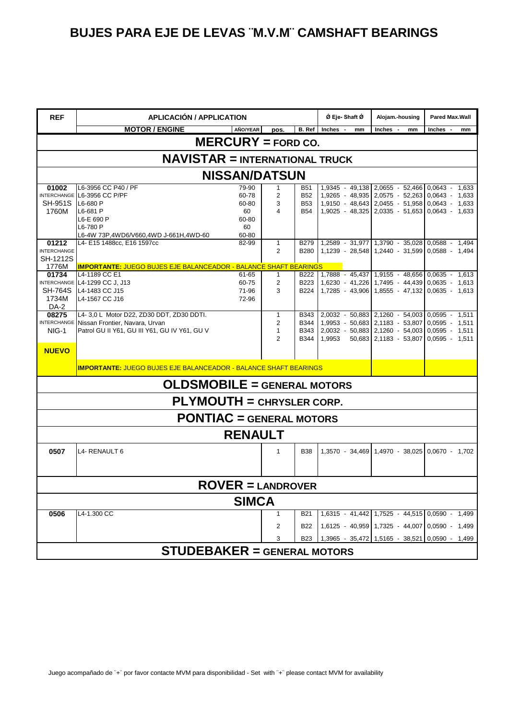| <b>REF</b>                                                                                          | <b>APLICACIÓN / APPLICATION</b>                                         |                |                |             | Ø Eje- Shaft Ø        | Alojam.-housing                                | Pared Max.Wall |       |  |
|-----------------------------------------------------------------------------------------------------|-------------------------------------------------------------------------|----------------|----------------|-------------|-----------------------|------------------------------------------------|----------------|-------|--|
|                                                                                                     | <b>MOTOR / ENGINE</b>                                                   | AÑO/YEAR       | pos.           |             | B. Ref Inches -<br>mm | Inches -<br>mm                                 | Inches -       | mm    |  |
| $MERCURY = FORD CO.$                                                                                |                                                                         |                |                |             |                       |                                                |                |       |  |
| <b>NAVISTAR = INTERNATIONAL TRUCK</b>                                                               |                                                                         |                |                |             |                       |                                                |                |       |  |
| <b>NISSAN/DATSUN</b>                                                                                |                                                                         |                |                |             |                       |                                                |                |       |  |
| 01002                                                                                               | L6-3956 CC P40 / PF                                                     | 79-90          | 1              | B51         |                       | $1,9345 - 49,138$ 2,0655 - 52,466 0,0643 -     |                | 1,633 |  |
|                                                                                                     | INTERCHANGE L6-3956 CC P/PF                                             | 60-78          | 2              | <b>B52</b>  |                       | 1,9265 - 48,935 2,0575 - 52,263 0,0643 -       |                | 1,633 |  |
| <b>SH-951S</b>                                                                                      | L6-680 P                                                                | 60-80          | 3              | <b>B53</b>  |                       | 1,9150 - 48,643 2,0455 - 51,958 0,0643 -       |                | 1,633 |  |
| 1760M                                                                                               | L6-681 P                                                                | 60             | 4              | <b>B54</b>  |                       | $1,9025 - 48,325$ 2,0335 - 51,653 0,0643 -     |                | 1,633 |  |
|                                                                                                     | L6-E 690 P                                                              | 60-80          |                |             |                       |                                                |                |       |  |
|                                                                                                     | L6-780 P<br>L6-4W 73P,4WD6/V660,4WD J-661H,4WD-60                       | 60<br>60-80    |                |             |                       |                                                |                |       |  |
| 01212                                                                                               | L4- E15 1488cc, E16 1597cc                                              | 82-99          | $\mathbf{1}$   | <b>B279</b> |                       | 1,2589 - 31,977 1,3790 - 35,028 0,0588 - 1,494 |                |       |  |
| <b>INTERCHANGE</b>                                                                                  |                                                                         |                | 2              | <b>B280</b> |                       | 1,1239 - 28,548 1,2440 - 31,599 0,0588 -       |                | 1,494 |  |
| SH-1212S                                                                                            |                                                                         |                |                |             |                       |                                                |                |       |  |
| 1776M                                                                                               | <b>IMPORTANTE: JUEGO BUJES EJE BALANCEADOR - BALANCE SHAFT BEARINGS</b> |                |                |             |                       |                                                |                |       |  |
| 01734                                                                                               | L4-1189 CC E1                                                           | 61-65          | 1              | B222        |                       | 1,7888 - 45,437 1,9155 - 48,656 0,0635 -       |                | 1,613 |  |
|                                                                                                     | INTERCHANGE L4-1299 CC J, J13                                           | 60-75          | $\overline{c}$ | B223        |                       | 1,6230 - 41,226 1,7495 - 44,439 0,0635 -       |                | 1,613 |  |
| <b>SH-764S</b>                                                                                      | L4-1483 CC J15                                                          | 71-96          | 3              | <b>B224</b> |                       | 1,7285 - 43,906 1,8555 - 47,132 0,0635 - 1,613 |                |       |  |
| 1734M                                                                                               | L4-1567 CC J16                                                          | 72-96          |                |             |                       |                                                |                |       |  |
| DA-2                                                                                                |                                                                         |                |                |             |                       |                                                |                |       |  |
| 08275                                                                                               | L4- 3,0 L Motor D22, ZD30 DDT, ZD30 DDTI.                               |                | 1              | B343        |                       | 2,0032 - 50,883 2,1260 - 54,003 0,0595 - 1,511 |                |       |  |
|                                                                                                     | INTERCHANGE Nissan Frontier, Navara, Urvan                              |                | 2              | <b>B344</b> |                       | $1,9953 - 50,683$ 2,1183 - 53,807 0,0595 -     |                | 1,511 |  |
| $NIG-1$                                                                                             | Patrol GU II Y61, GU III Y61, GU IV Y61, GU V                           |                | $\mathbf{1}$   | <b>B343</b> |                       | 2,0032 - 50,883 2,1260 - 54,003 0,0595 -       |                | 1,511 |  |
|                                                                                                     |                                                                         |                | $\overline{2}$ | <b>B344</b> | 1,9953                | $50,683$ 2,1183 - 53,807 0,0595 -              |                | 1,511 |  |
| <b>NUEVO</b>                                                                                        |                                                                         |                |                |             |                       |                                                |                |       |  |
| <b>IMPORTANTE: JUEGO BUJES EJE BALANCEADOR - BALANCE SHAFT BEARINGS</b>                             |                                                                         |                |                |             |                       |                                                |                |       |  |
| <b>OLDSMOBILE = GENERAL MOTORS</b>                                                                  |                                                                         |                |                |             |                       |                                                |                |       |  |
| <b>PLYMOUTH = CHRYSLER CORP.</b>                                                                    |                                                                         |                |                |             |                       |                                                |                |       |  |
|                                                                                                     | <b>PONTIAC = GENERAL MOTORS</b>                                         |                |                |             |                       |                                                |                |       |  |
|                                                                                                     |                                                                         | <b>RENAULT</b> |                |             |                       |                                                |                |       |  |
|                                                                                                     |                                                                         |                |                |             |                       |                                                |                |       |  |
| 0507                                                                                                | L4- RENAULT 6                                                           |                | $\mathbf{1}$   | <b>B38</b>  |                       | 1,3570 - 34,469 1,4970 - 38,025 0,0670 - 1,702 |                |       |  |
|                                                                                                     |                                                                         |                |                |             |                       |                                                |                |       |  |
| $ROVER = LANDROVER$                                                                                 |                                                                         |                |                |             |                       |                                                |                |       |  |
|                                                                                                     |                                                                         |                |                |             |                       |                                                |                |       |  |
| <b>SIMCA</b><br>L4-1.300 CC<br>0506<br>1,6315 - 41,442 1,7525 - 44,515 0,0590 - 1,499<br><b>B21</b> |                                                                         |                |                |             |                       |                                                |                |       |  |
|                                                                                                     |                                                                         |                |                |             |                       |                                                |                |       |  |
|                                                                                                     |                                                                         |                | 2              | <b>B22</b>  |                       | 1,6125 - 40,959 1,7325 - 44,007 0,0590 - 1,499 |                |       |  |
|                                                                                                     |                                                                         |                | 3              | B23         |                       | 1,3965 - 35,472 1,5165 - 38,521 0,0590 - 1,499 |                |       |  |
| <b>STUDEBAKER = GENERAL MOTORS</b>                                                                  |                                                                         |                |                |             |                       |                                                |                |       |  |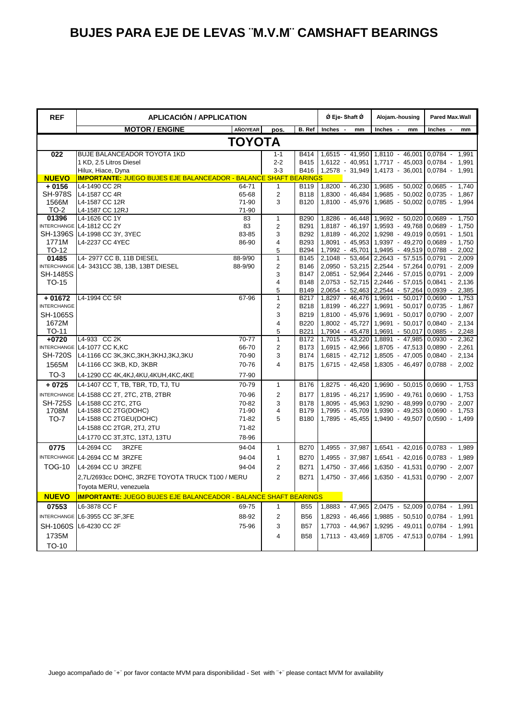| <b>REF</b>              | <b>APLICACIÓN / APPLICATION</b>                                                          |           |                         |                     | Ø Eje-Shaft Ø                   | Alojam.-housing                                    | Pared Max.Wall                       |  |
|-------------------------|------------------------------------------------------------------------------------------|-----------|-------------------------|---------------------|---------------------------------|----------------------------------------------------|--------------------------------------|--|
|                         | <b>MOTOR / ENGINE</b>                                                                    | AÑO/YEAR  | pos.                    | B. Ref              | Inches -<br>mm                  | Inches -<br>mm                                     | Inches -<br>mm                       |  |
| ΤΟΥΟΤΑ                  |                                                                                          |           |                         |                     |                                 |                                                    |                                      |  |
| 022                     | <b>BUJE BALANCEADOR TOYOTA 1KD</b>                                                       |           | $1 - 1$                 | B414                | 1,6515 - 41,950                 | 1,8110 - 46,001                                    | 0,0784 - 1,991                       |  |
|                         | 1 KD, 2.5 Litros Diesel                                                                  |           | $2 - 2$                 | B415                | 1,6122 - 40,951                 | 1,7717 - 45,003                                    | 0,0784 - 1,991                       |  |
|                         | Hilux, Hiace, Dyna                                                                       |           | $3 - 3$                 |                     | B416 1,2578 - 31,949            | 1,4173 - 36,001                                    | 0,0784 - 1,991                       |  |
| <b>NUEVO</b><br>$+0156$ | <b>IMPORTANTE: JUEGO BUJES EJE BALANCEADOR - BALANCE SHAFT BEARINGS</b><br>L4-1490 CC 2R | 64-71     | $\mathbf{1}$            | B119                | 1,8200 - 46,230                 | 1,9685 - 50,002                                    | $0.0685 -$<br>1,740                  |  |
| <b>SH-978S</b>          | L4-1587 CC 4R                                                                            | 65-68     | $\overline{c}$          | <b>B118</b>         | 1,8300 - 46,484                 | 1,9685 - 50,002                                    | $0.0735 -$<br>1,867                  |  |
| 1566M                   | L4-1587 CC 12R                                                                           | 71-90     | 3                       | B120                | 1,8100 - 45,976                 | 1,9685 - 50,002                                    | $0,0785 -$<br>1,994                  |  |
| TO-2                    | L4-1587 CC 12RJ                                                                          | 71-90     |                         |                     |                                 |                                                    |                                      |  |
| 01396                   | L4-1626 CC 1Y                                                                            | 83        | $\mathbf{1}$            | <b>B290</b>         | 1,8286 - 46,448                 | 1,9692 - 50,020                                    | $0.0689 -$<br>1,750                  |  |
|                         | INTERCHANGE L4-1812 CC 2Y                                                                | 83        | $\overline{2}$          | B291                | 1,8187 - 46,197                 | 1,9593 - 49,768                                    | $0.0689 -$<br>1,750                  |  |
| <b>SH-1396S</b>         | L4-1998 CC 3Y, 3YEC                                                                      | 83-85     | 3                       | B292                | 1,8189 - 46,202                 | 1,9298 - 49,019                                    | $0.0591 - 1.501$                     |  |
| 1771M                   | L4-2237 CC 4YEC                                                                          | 86-90     | 4                       | B293                |                                 | 1,8091 - 45,953 1,9397 - 49,270                    | $0.0689 - 1.750$                     |  |
| TO-12                   |                                                                                          |           | 5                       | B294                | 1,7992 - 45,701                 | 1,9495 - 49,519                                    | $0.0788 - 2.002$                     |  |
| 01485                   | L4-2977 CC B, 11B DIESEL                                                                 | 88-9/90   | $\mathbf{1}$            | B145                | 2,1048 - 53,464                 | 2,2643 - 57,515                                    | $0,0791 - 2,009$                     |  |
| <b>SH-1485S</b>         | INTERCHANGE L4-3431CC 3B, 13B, 13BT DIESEL                                               | 88-9/90   | $\overline{2}$          | B146<br><b>B147</b> |                                 | 2,0950 - 53,215 2,2544 - 57,264                    | $0.0791 - 2.009$                     |  |
| TO-15                   |                                                                                          |           | 3<br>$\overline{4}$     | B148                | 2,0753 - 52,715                 | 2,0851 - 52,964 2,2446 - 57,015<br>2,2446 - 57,015 | $0,0791 - 2,009$<br>$0.0841 - 2.136$ |  |
|                         |                                                                                          |           | 5                       | B149                | 2,0654 - 52,463                 | 2,2544 - 57,264                                    | 0,0939 - 2,385                       |  |
| $+01672$                | L4-1994 CC 5R                                                                            | 67-96     | $\mathbf{1}$            | B217                | 1,8297 - 46,476                 | 1,9691 - 50,017                                    | $0.0690 - 1.753$                     |  |
| <b>INTERCHANGE</b>      |                                                                                          |           | $\overline{2}$          | <b>B218</b>         | 1,8199 - 46,227                 | 1,9691 - 50,017                                    | $0.0735 - 1.867$                     |  |
| SH-1065S                |                                                                                          |           | 3                       | B219                |                                 | 1,8100 - 45,976 1,9691 - 50,017                    | $0.0790 - 2.007$                     |  |
| 1672M                   |                                                                                          |           | $\overline{\mathbf{4}}$ | B220                | 1,8002 - 45,727                 | 1,9691 - 50,017                                    | $0.0840 - 2.134$                     |  |
| TO-11                   |                                                                                          |           | 5                       | B221                | 1,7904 - 45,478                 | 1,9691 - 50,017                                    | $0.0885 - 2.248$                     |  |
| $+0720$                 | L4-933 CC 2K                                                                             | $70 - 77$ | $\overline{1}$          | B172                | 1,7015 - 43,220                 | 1,8891 - 47,985                                    | $0,0930 - 2,362$                     |  |
|                         | INTERCHANGE L4-1077 CC K,KC                                                              | 66-70     | 2                       | B173                | 1,6915 - 42,966                 | 1,8705 - 47,513                                    | $0.0890 - 2.261$                     |  |
| <b>SH-720S</b>          | L4-1166 CC 3K, 3KC, 3KH, 3KHJ, 3KJ, 3KU                                                  | 70-90     | 3                       | B174                |                                 | 1,6815 - 42,712 1,8505 - 47,005                    | $0,0840 -$<br>2,134                  |  |
| 1565M                   | L4-1166 CC 3KB, KD, 3KBR                                                                 | 70-76     | 4                       | B175                | 1,6715 - 42,458 1,8305 - 46,497 |                                                    | $0,0788 - 2,002$                     |  |
| $TO-3$                  | L4-1290 CC 4K,4KJ,4KU,4KUH,4KC,4KE                                                       | 77-90     |                         |                     |                                 |                                                    |                                      |  |
| $+0725$                 | L4-1407 CC T, TB, TBR, TD, TJ, TU                                                        | 70-79     | $\mathbf{1}$            | B176                | 1,8275 - 46,420                 | 1,9690 - 50,015                                    | $0.0690 -$<br>1,753                  |  |
|                         | INTERCHANGE L4-1588 CC 2T, 2TC, 2TB, 2TBR                                                | 70-96     | $\overline{2}$          | <b>B177</b>         | 1,8195 - 46,217                 | 1,9590 - 49,761                                    | $0.0690 -$<br>1,753                  |  |
| <b>SH-725S</b>          | L4-1588 CC 2TC, 2TG                                                                      | 70-82     | 3                       | <b>B178</b>         | 1,8095 - 45,963                 | 1,9290 - 48,999                                    | $0.0790 -$<br>2.007                  |  |
| 1708M                   | L4-1588 CC 2TG(DOHC)                                                                     | 71-90     | $\overline{4}$          | <b>B179</b>         | 1,7995 - 45,709                 | 1,9390 - 49,253                                    | $0,0690 - 1,753$                     |  |
| <b>TO-7</b>             | L4-1588 CC 2TGEU(DOHC)                                                                   | 71-82     | 5                       | <b>B180</b>         | 1,7895 - 45,455                 | 1,9490 - 49,507                                    | $0.0590 - 1.499$                     |  |
|                         | L4-1588 CC 2TGR, 2TJ, 2TU                                                                | 71-82     |                         |                     |                                 |                                                    |                                      |  |
|                         | L4-1770 CC 3T, 3TC, 13TJ, 13TU                                                           | 78-96     |                         |                     |                                 |                                                    |                                      |  |
| 0775                    | L4-2694 CC<br>3RZFE                                                                      | 94-04     | $\mathbf{1}$            | <b>B270</b>         |                                 | 1,4955 - 37,987 1,6541 - 42,016 0,0783 - 1,989     |                                      |  |
|                         | INTERCHANGE L4-2694 CC M 3RZFE                                                           | 94-04     | $\mathbf{1}$            | <b>B270</b>         |                                 | $1,4955 - 37,987$ 1,6541 - 42,016 0,0783 -         | 1,989                                |  |
| <b>TOG-10</b>           | L4-2694 CC U 3RZFE                                                                       | 94-04     | $\overline{2}$          | B271                | 1,4750 - 37,466                 | 1,6350 - 41,531                                    | $0.0790 -$<br>2,007                  |  |
|                         | 2,7L/2693cc DOHC, 3RZFE TOYOTA TRUCK T100 / MERU                                         |           | $\overline{2}$          | B271                | 1,4750 - 37,466                 | 1,6350 - 41,531                                    | $0.0790 - 2.007$                     |  |
|                         | Toyota MERU, venezuela                                                                   |           |                         |                     |                                 |                                                    |                                      |  |
| <b>NUEVO</b>            | <b>IMPORTANTE: JUEGO BUJES EJE BALANCEADOR - BALANCE SHAFT BEARINGS</b>                  |           |                         |                     |                                 |                                                    |                                      |  |
|                         |                                                                                          |           |                         |                     |                                 |                                                    |                                      |  |
| 07553                   | L6-3878 CC F                                                                             | 69-75     | $\mathbf{1}$            | <b>B55</b>          |                                 | 1,8883 - 47,965 2,0475 - 52,009 0,0784 - 1,991     |                                      |  |
|                         | INTERCHANGE L6-3955 CC 3F, 3FE                                                           | 88-92     | $\overline{2}$          | <b>B56</b>          |                                 | 1,8293 - 46,466 1,9885 - 50,510 0,0784 -           | 1,991                                |  |
| <b>SH-1060S</b>         | L6-4230 CC 2F                                                                            | 75-96     | 3                       | <b>B57</b>          | 1,7703 - 44,967                 | 1,9295 - 49,011                                    | $0.0784 -$<br>1,991                  |  |
| 1735M                   |                                                                                          |           | $\overline{\mathbf{4}}$ | <b>B58</b>          | 1,7113 - 43,469                 | 1,8705 - 47,513 0,0784 - 1,991                     |                                      |  |
| TO-10                   |                                                                                          |           |                         |                     |                                 |                                                    |                                      |  |